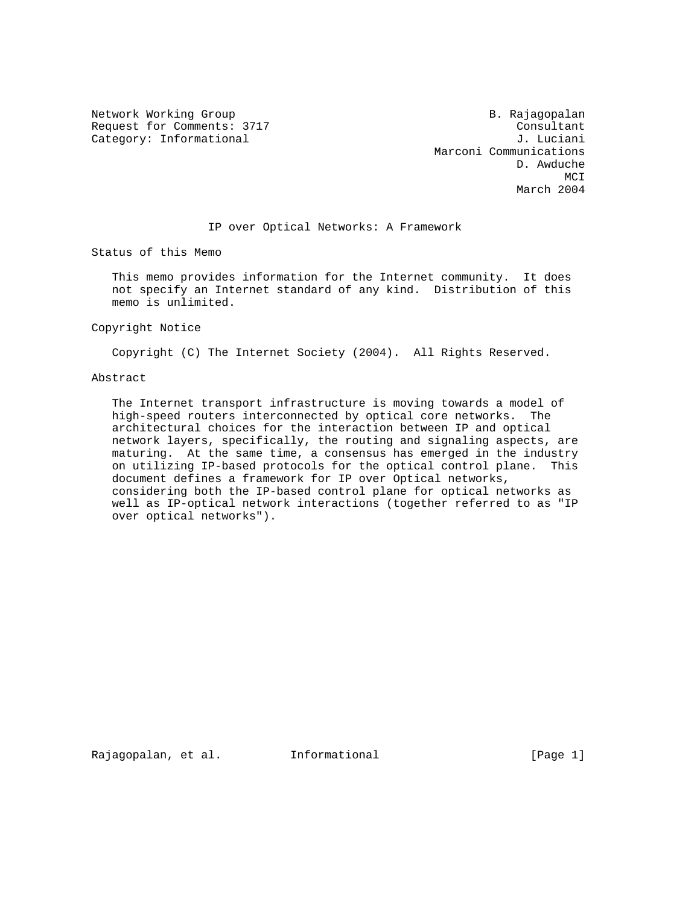Network Working Group and B. Rajagopalan Request for Comments: 3717 Consultant Category: Informational  $J.$  Luciani

 Marconi Communications D. Awduche MCI **MCI** March 2004

IP over Optical Networks: A Framework

Status of this Memo

 This memo provides information for the Internet community. It does not specify an Internet standard of any kind. Distribution of this memo is unlimited.

Copyright Notice

Copyright (C) The Internet Society (2004). All Rights Reserved.

#### Abstract

 The Internet transport infrastructure is moving towards a model of high-speed routers interconnected by optical core networks. The architectural choices for the interaction between IP and optical network layers, specifically, the routing and signaling aspects, are maturing. At the same time, a consensus has emerged in the industry on utilizing IP-based protocols for the optical control plane. This document defines a framework for IP over Optical networks, considering both the IP-based control plane for optical networks as well as IP-optical network interactions (together referred to as "IP over optical networks").

Rajagopalan, et al. Informational [Page 1]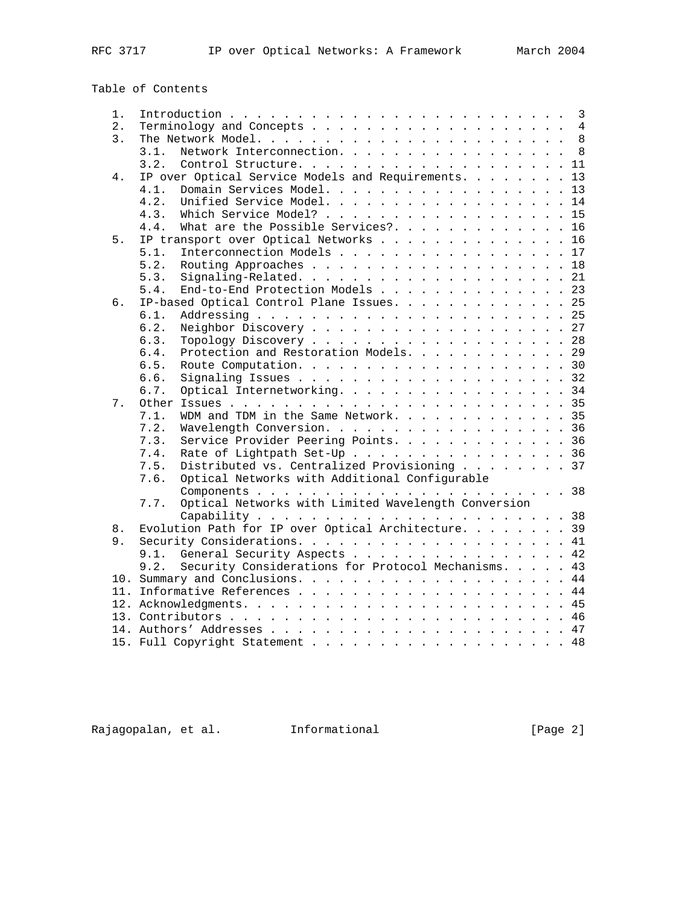Table of Contents

| 1. | $\overline{3}$                                                 |  |  |  |  |  |  |  |
|----|----------------------------------------------------------------|--|--|--|--|--|--|--|
| 2. |                                                                |  |  |  |  |  |  |  |
| 3. |                                                                |  |  |  |  |  |  |  |
|    | Network Interconnection. 8<br>3.1.                             |  |  |  |  |  |  |  |
|    | 3.2.<br>Control Structure. 11                                  |  |  |  |  |  |  |  |
| 4. | IP over Optical Service Models and Requirements. 13            |  |  |  |  |  |  |  |
|    | Domain Services Model. 13<br>4.1.                              |  |  |  |  |  |  |  |
|    | Unified Service Model. 14<br>4.2.                              |  |  |  |  |  |  |  |
|    | Which Service Model?<br>4.3.<br>15                             |  |  |  |  |  |  |  |
|    | What are the Possible Services?.<br>4.4.<br>16                 |  |  |  |  |  |  |  |
| 5. | IP transport over Optical Networks 16                          |  |  |  |  |  |  |  |
|    | Interconnection Models 17<br>5.1.                              |  |  |  |  |  |  |  |
|    | 5.2.<br>18                                                     |  |  |  |  |  |  |  |
|    | 5.3.                                                           |  |  |  |  |  |  |  |
|    | End-to-End Protection Models 23<br>5.4.                        |  |  |  |  |  |  |  |
| б. | IP-based Optical Control Plane Issues. 25                      |  |  |  |  |  |  |  |
|    | 6.1.                                                           |  |  |  |  |  |  |  |
|    | Neighbor Discovery 27<br>6.2.                                  |  |  |  |  |  |  |  |
|    | Topology Discovery 28<br>6.3.                                  |  |  |  |  |  |  |  |
|    | Protection and Restoration Models. 29<br>6.4.                  |  |  |  |  |  |  |  |
|    | 6.5.                                                           |  |  |  |  |  |  |  |
|    | 6.6.                                                           |  |  |  |  |  |  |  |
|    | 6.7.                                                           |  |  |  |  |  |  |  |
| 7. | Optical Internetworking. 34                                    |  |  |  |  |  |  |  |
|    | WDM and TDM in the Same Network. 35                            |  |  |  |  |  |  |  |
|    | 7.1.                                                           |  |  |  |  |  |  |  |
|    | 7.2.<br>Wavelength Conversion. 36                              |  |  |  |  |  |  |  |
|    | Service Provider Peering Points. 36<br>7.3.                    |  |  |  |  |  |  |  |
|    | Rate of Lightpath Set-Up 36<br>7.4.                            |  |  |  |  |  |  |  |
|    | Distributed vs. Centralized Provisioning 37<br>7.5.            |  |  |  |  |  |  |  |
|    | Optical Networks with Additional Configurable<br>7.6.          |  |  |  |  |  |  |  |
|    |                                                                |  |  |  |  |  |  |  |
|    | Optical Networks with Limited Wavelength Conversion<br>7.7.    |  |  |  |  |  |  |  |
|    |                                                                |  |  |  |  |  |  |  |
| 8. | Evolution Path for IP over Optical Architecture. 39            |  |  |  |  |  |  |  |
| 9. |                                                                |  |  |  |  |  |  |  |
|    | 9.1. General Security Aspects 42                               |  |  |  |  |  |  |  |
|    | 9.2.<br>Security Considerations for Protocol Mechanisms.<br>43 |  |  |  |  |  |  |  |
|    |                                                                |  |  |  |  |  |  |  |
|    |                                                                |  |  |  |  |  |  |  |
|    |                                                                |  |  |  |  |  |  |  |
|    |                                                                |  |  |  |  |  |  |  |
|    |                                                                |  |  |  |  |  |  |  |
|    | 15. Full Copyright Statement 48                                |  |  |  |  |  |  |  |

Rajagopalan, et al. 1nformational 1999 [Page 2]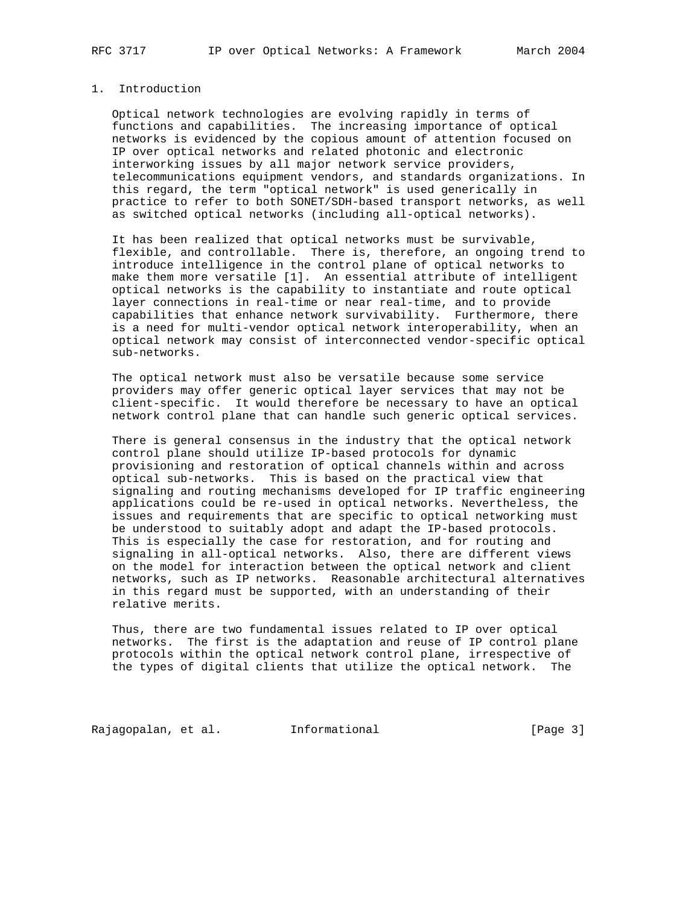## 1. Introduction

 Optical network technologies are evolving rapidly in terms of functions and capabilities. The increasing importance of optical networks is evidenced by the copious amount of attention focused on IP over optical networks and related photonic and electronic interworking issues by all major network service providers, telecommunications equipment vendors, and standards organizations. In this regard, the term "optical network" is used generically in practice to refer to both SONET/SDH-based transport networks, as well as switched optical networks (including all-optical networks).

 It has been realized that optical networks must be survivable, flexible, and controllable. There is, therefore, an ongoing trend to introduce intelligence in the control plane of optical networks to make them more versatile [1]. An essential attribute of intelligent optical networks is the capability to instantiate and route optical layer connections in real-time or near real-time, and to provide capabilities that enhance network survivability. Furthermore, there is a need for multi-vendor optical network interoperability, when an optical network may consist of interconnected vendor-specific optical sub-networks.

 The optical network must also be versatile because some service providers may offer generic optical layer services that may not be client-specific. It would therefore be necessary to have an optical network control plane that can handle such generic optical services.

 There is general consensus in the industry that the optical network control plane should utilize IP-based protocols for dynamic provisioning and restoration of optical channels within and across optical sub-networks. This is based on the practical view that signaling and routing mechanisms developed for IP traffic engineering applications could be re-used in optical networks. Nevertheless, the issues and requirements that are specific to optical networking must be understood to suitably adopt and adapt the IP-based protocols. This is especially the case for restoration, and for routing and signaling in all-optical networks. Also, there are different views on the model for interaction between the optical network and client networks, such as IP networks. Reasonable architectural alternatives in this regard must be supported, with an understanding of their relative merits.

 Thus, there are two fundamental issues related to IP over optical networks. The first is the adaptation and reuse of IP control plane protocols within the optical network control plane, irrespective of the types of digital clients that utilize the optical network. The

Rajagopalan, et al. 1nformational 1999 [Page 3]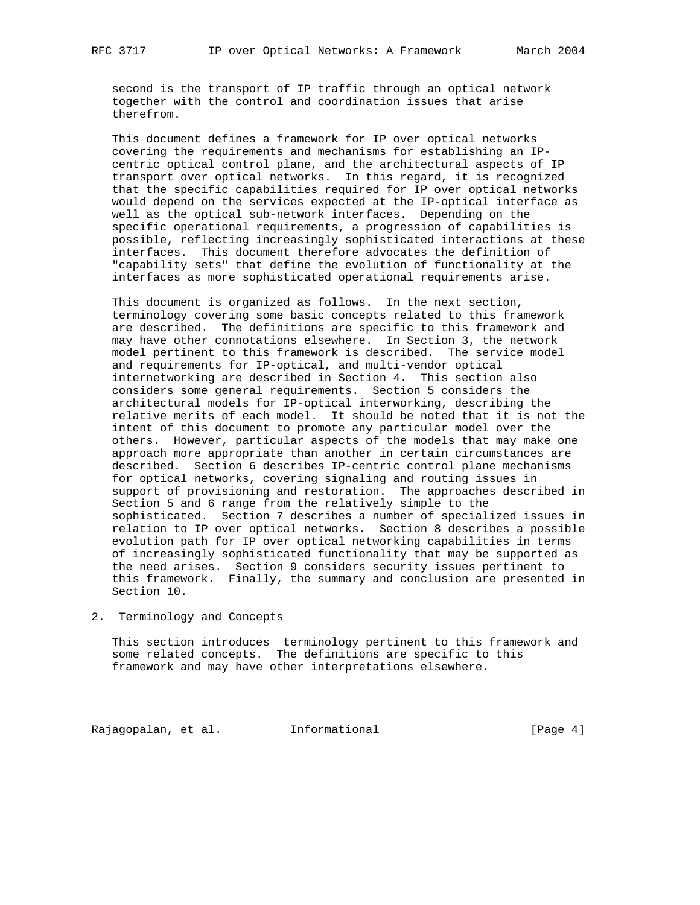second is the transport of IP traffic through an optical network together with the control and coordination issues that arise therefrom.

 This document defines a framework for IP over optical networks covering the requirements and mechanisms for establishing an IP centric optical control plane, and the architectural aspects of IP transport over optical networks. In this regard, it is recognized that the specific capabilities required for IP over optical networks would depend on the services expected at the IP-optical interface as well as the optical sub-network interfaces. Depending on the specific operational requirements, a progression of capabilities is possible, reflecting increasingly sophisticated interactions at these interfaces. This document therefore advocates the definition of "capability sets" that define the evolution of functionality at the interfaces as more sophisticated operational requirements arise.

 This document is organized as follows. In the next section, terminology covering some basic concepts related to this framework are described. The definitions are specific to this framework and may have other connotations elsewhere. In Section 3, the network model pertinent to this framework is described. The service model and requirements for IP-optical, and multi-vendor optical internetworking are described in Section 4. This section also considers some general requirements. Section 5 considers the architectural models for IP-optical interworking, describing the relative merits of each model. It should be noted that it is not the intent of this document to promote any particular model over the others. However, particular aspects of the models that may make one approach more appropriate than another in certain circumstances are described. Section 6 describes IP-centric control plane mechanisms for optical networks, covering signaling and routing issues in support of provisioning and restoration. The approaches described in Section 5 and 6 range from the relatively simple to the sophisticated. Section 7 describes a number of specialized issues in relation to IP over optical networks. Section 8 describes a possible evolution path for IP over optical networking capabilities in terms of increasingly sophisticated functionality that may be supported as the need arises. Section 9 considers security issues pertinent to this framework. Finally, the summary and conclusion are presented in Section 10.

## 2. Terminology and Concepts

 This section introduces terminology pertinent to this framework and some related concepts. The definitions are specific to this framework and may have other interpretations elsewhere.

Rajagopalan, et al. Informational [Page 4]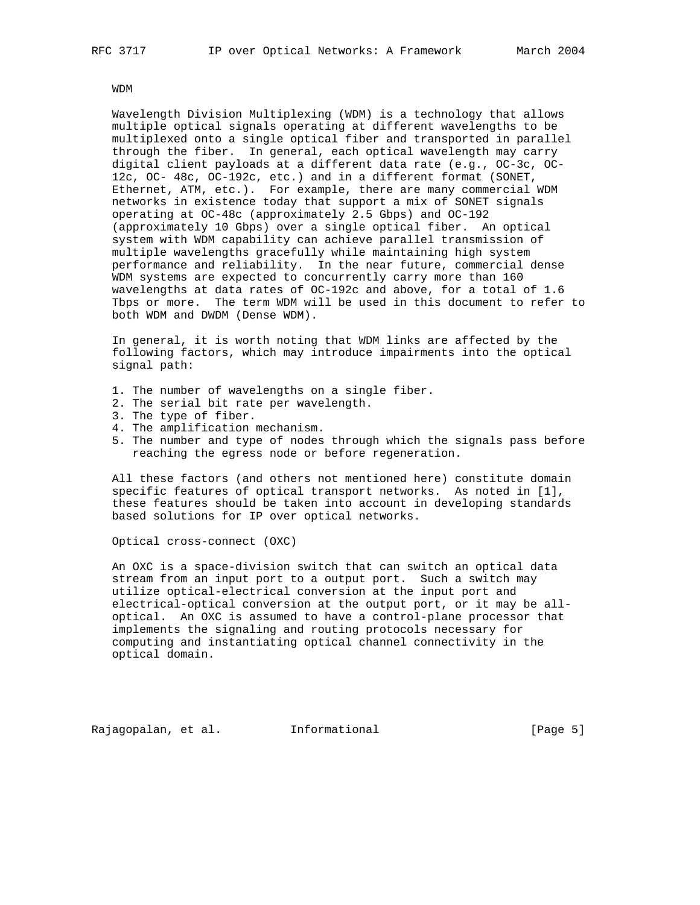WDM

 Wavelength Division Multiplexing (WDM) is a technology that allows multiple optical signals operating at different wavelengths to be multiplexed onto a single optical fiber and transported in parallel through the fiber. In general, each optical wavelength may carry digital client payloads at a different data rate (e.g., OC-3c, OC- 12c, OC- 48c, OC-192c, etc.) and in a different format (SONET, Ethernet, ATM, etc.). For example, there are many commercial WDM networks in existence today that support a mix of SONET signals operating at OC-48c (approximately 2.5 Gbps) and OC-192 (approximately 10 Gbps) over a single optical fiber. An optical system with WDM capability can achieve parallel transmission of multiple wavelengths gracefully while maintaining high system performance and reliability. In the near future, commercial dense WDM systems are expected to concurrently carry more than 160 wavelengths at data rates of OC-192c and above, for a total of 1.6 Tbps or more. The term WDM will be used in this document to refer to both WDM and DWDM (Dense WDM).

 In general, it is worth noting that WDM links are affected by the following factors, which may introduce impairments into the optical signal path:

- 1. The number of wavelengths on a single fiber.
- 2. The serial bit rate per wavelength.
- 3. The type of fiber.
- 4. The amplification mechanism.
- 5. The number and type of nodes through which the signals pass before reaching the egress node or before regeneration.

 All these factors (and others not mentioned here) constitute domain specific features of optical transport networks. As noted in [1], these features should be taken into account in developing standards based solutions for IP over optical networks.

Optical cross-connect (OXC)

 An OXC is a space-division switch that can switch an optical data stream from an input port to a output port. Such a switch may utilize optical-electrical conversion at the input port and electrical-optical conversion at the output port, or it may be all optical. An OXC is assumed to have a control-plane processor that implements the signaling and routing protocols necessary for computing and instantiating optical channel connectivity in the optical domain.

Rajagopalan, et al. Informational [Page 5]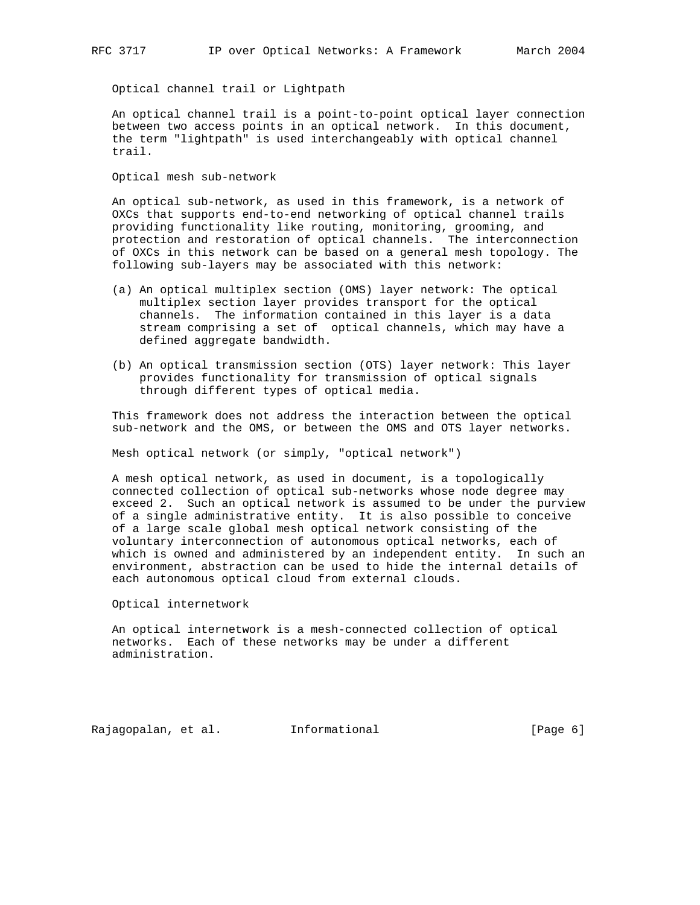Optical channel trail or Lightpath

 An optical channel trail is a point-to-point optical layer connection between two access points in an optical network. In this document, the term "lightpath" is used interchangeably with optical channel trail.

Optical mesh sub-network

 An optical sub-network, as used in this framework, is a network of OXCs that supports end-to-end networking of optical channel trails providing functionality like routing, monitoring, grooming, and protection and restoration of optical channels. The interconnection of OXCs in this network can be based on a general mesh topology. The following sub-layers may be associated with this network:

- (a) An optical multiplex section (OMS) layer network: The optical multiplex section layer provides transport for the optical channels. The information contained in this layer is a data stream comprising a set of optical channels, which may have a defined aggregate bandwidth.
- (b) An optical transmission section (OTS) layer network: This layer provides functionality for transmission of optical signals through different types of optical media.

 This framework does not address the interaction between the optical sub-network and the OMS, or between the OMS and OTS layer networks.

Mesh optical network (or simply, "optical network")

 A mesh optical network, as used in document, is a topologically connected collection of optical sub-networks whose node degree may exceed 2. Such an optical network is assumed to be under the purview of a single administrative entity. It is also possible to conceive of a large scale global mesh optical network consisting of the voluntary interconnection of autonomous optical networks, each of which is owned and administered by an independent entity. In such an environment, abstraction can be used to hide the internal details of each autonomous optical cloud from external clouds.

Optical internetwork

 An optical internetwork is a mesh-connected collection of optical networks. Each of these networks may be under a different administration.

Rajagopalan, et al. 1nformational (Page 6)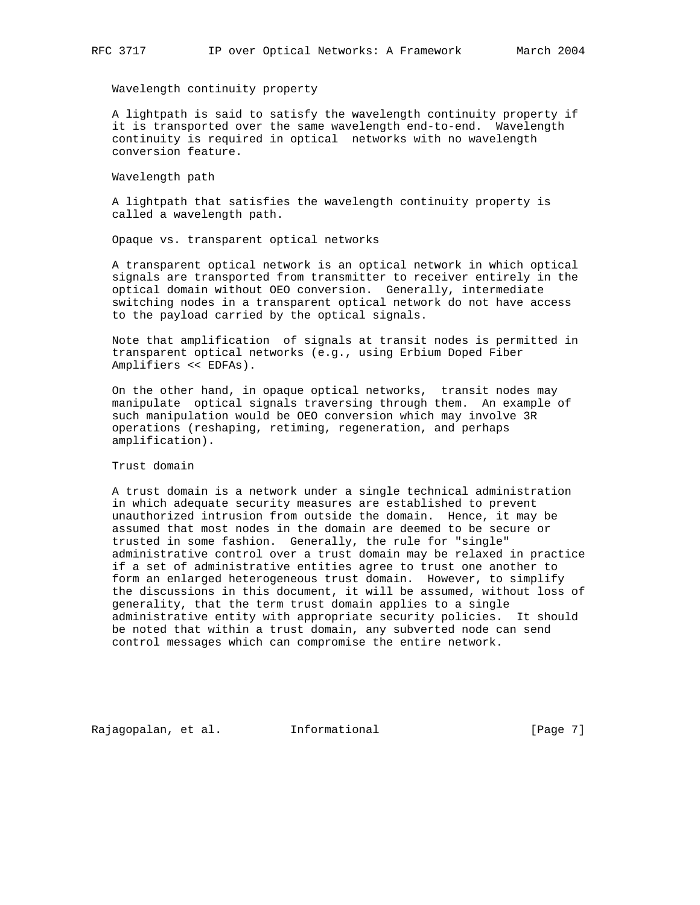Wavelength continuity property

 A lightpath is said to satisfy the wavelength continuity property if it is transported over the same wavelength end-to-end. Wavelength continuity is required in optical networks with no wavelength conversion feature.

Wavelength path

 A lightpath that satisfies the wavelength continuity property is called a wavelength path.

Opaque vs. transparent optical networks

 A transparent optical network is an optical network in which optical signals are transported from transmitter to receiver entirely in the optical domain without OEO conversion. Generally, intermediate switching nodes in a transparent optical network do not have access to the payload carried by the optical signals.

 Note that amplification of signals at transit nodes is permitted in transparent optical networks (e.g., using Erbium Doped Fiber Amplifiers << EDFAs).

 On the other hand, in opaque optical networks, transit nodes may manipulate optical signals traversing through them. An example of such manipulation would be OEO conversion which may involve 3R operations (reshaping, retiming, regeneration, and perhaps amplification).

Trust domain

 A trust domain is a network under a single technical administration in which adequate security measures are established to prevent unauthorized intrusion from outside the domain. Hence, it may be assumed that most nodes in the domain are deemed to be secure or trusted in some fashion. Generally, the rule for "single" administrative control over a trust domain may be relaxed in practice if a set of administrative entities agree to trust one another to form an enlarged heterogeneous trust domain. However, to simplify the discussions in this document, it will be assumed, without loss of generality, that the term trust domain applies to a single administrative entity with appropriate security policies. It should be noted that within a trust domain, any subverted node can send control messages which can compromise the entire network.

Rajagopalan, et al. Informational [Page 7]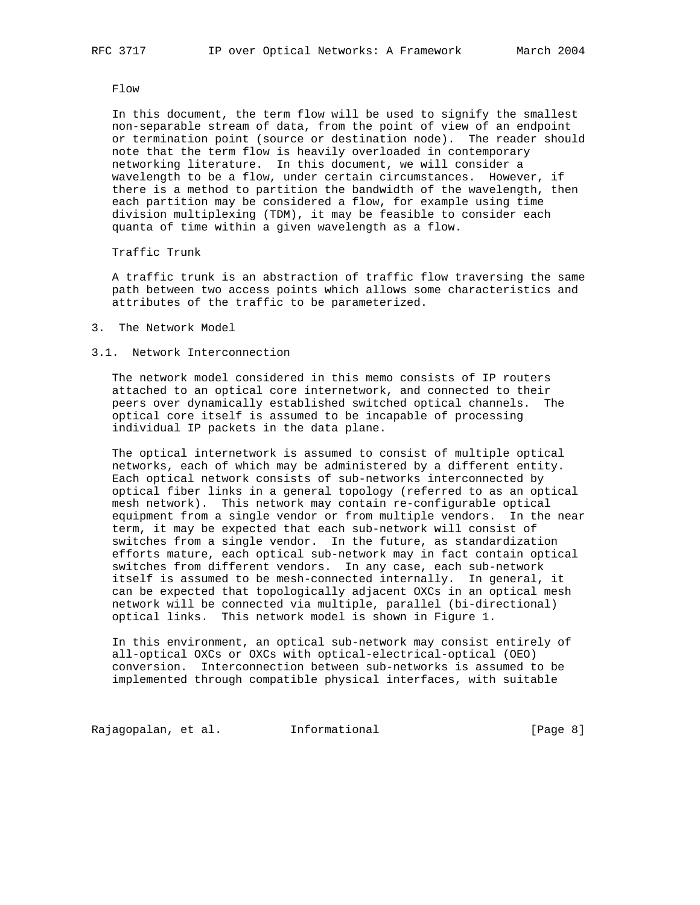Flow

 In this document, the term flow will be used to signify the smallest non-separable stream of data, from the point of view of an endpoint or termination point (source or destination node). The reader should note that the term flow is heavily overloaded in contemporary networking literature. In this document, we will consider a wavelength to be a flow, under certain circumstances. However, if there is a method to partition the bandwidth of the wavelength, then each partition may be considered a flow, for example using time division multiplexing (TDM), it may be feasible to consider each quanta of time within a given wavelength as a flow.

Traffic Trunk

 A traffic trunk is an abstraction of traffic flow traversing the same path between two access points which allows some characteristics and attributes of the traffic to be parameterized.

3. The Network Model

## 3.1. Network Interconnection

 The network model considered in this memo consists of IP routers attached to an optical core internetwork, and connected to their peers over dynamically established switched optical channels. The optical core itself is assumed to be incapable of processing individual IP packets in the data plane.

 The optical internetwork is assumed to consist of multiple optical networks, each of which may be administered by a different entity. Each optical network consists of sub-networks interconnected by optical fiber links in a general topology (referred to as an optical mesh network). This network may contain re-configurable optical equipment from a single vendor or from multiple vendors. In the near term, it may be expected that each sub-network will consist of switches from a single vendor. In the future, as standardization efforts mature, each optical sub-network may in fact contain optical switches from different vendors. In any case, each sub-network itself is assumed to be mesh-connected internally. In general, it can be expected that topologically adjacent OXCs in an optical mesh network will be connected via multiple, parallel (bi-directional) optical links. This network model is shown in Figure 1.

 In this environment, an optical sub-network may consist entirely of all-optical OXCs or OXCs with optical-electrical-optical (OEO) conversion. Interconnection between sub-networks is assumed to be implemented through compatible physical interfaces, with suitable

Rajagopalan, et al. 1nformational 1999 [Page 8]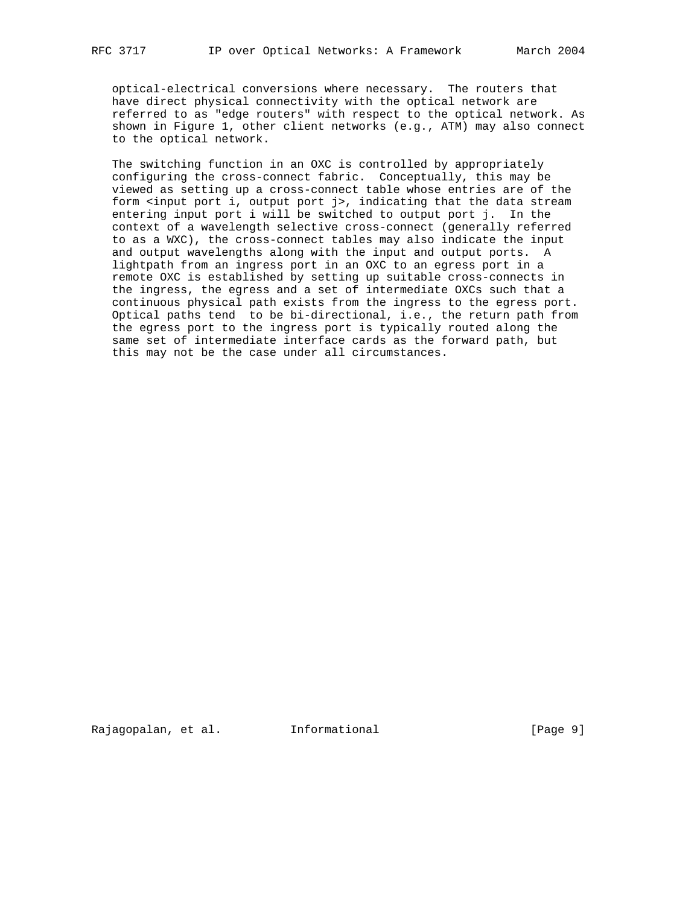optical-electrical conversions where necessary. The routers that have direct physical connectivity with the optical network are referred to as "edge routers" with respect to the optical network. As shown in Figure 1, other client networks (e.g., ATM) may also connect to the optical network.

 The switching function in an OXC is controlled by appropriately configuring the cross-connect fabric. Conceptually, this may be viewed as setting up a cross-connect table whose entries are of the form <input port i, output port j>, indicating that the data stream entering input port i will be switched to output port j. In the context of a wavelength selective cross-connect (generally referred to as a WXC), the cross-connect tables may also indicate the input and output wavelengths along with the input and output ports. A lightpath from an ingress port in an OXC to an egress port in a remote OXC is established by setting up suitable cross-connects in the ingress, the egress and a set of intermediate OXCs such that a continuous physical path exists from the ingress to the egress port. Optical paths tend to be bi-directional, i.e., the return path from the egress port to the ingress port is typically routed along the same set of intermediate interface cards as the forward path, but this may not be the case under all circumstances.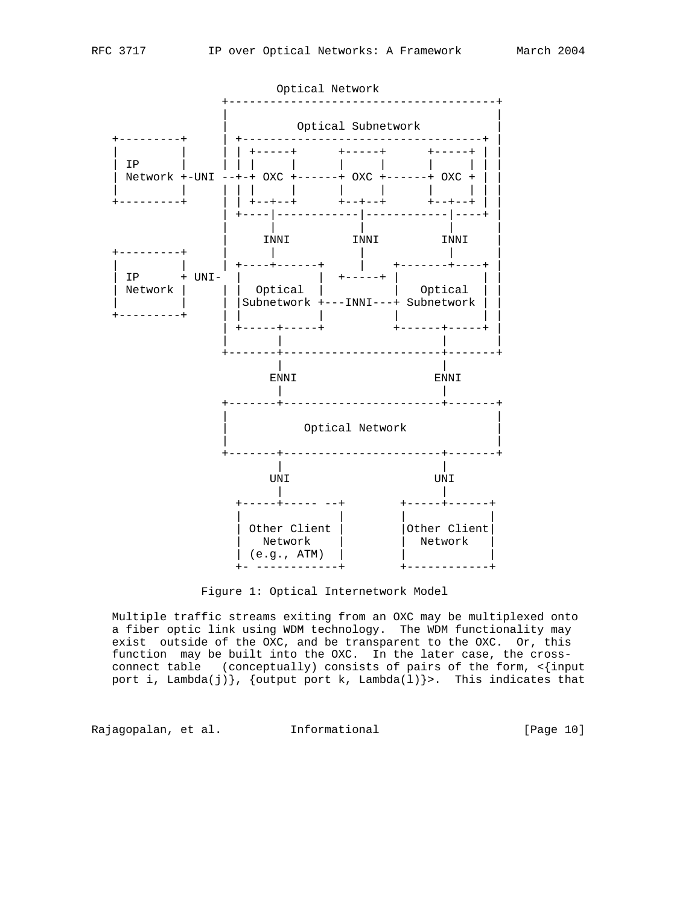



Figure 1: Optical Internetwork Model

 Multiple traffic streams exiting from an OXC may be multiplexed onto a fiber optic link using WDM technology. The WDM functionality may exist outside of the OXC, and be transparent to the OXC. Or, this function may be built into the OXC. In the later case, the cross connect table (conceptually) consists of pairs of the form, <{input port i, Lambda(j) }, {output port k, Lambda(l) }>. This indicates that

Rajagopalan, et al. Informational [Page 10]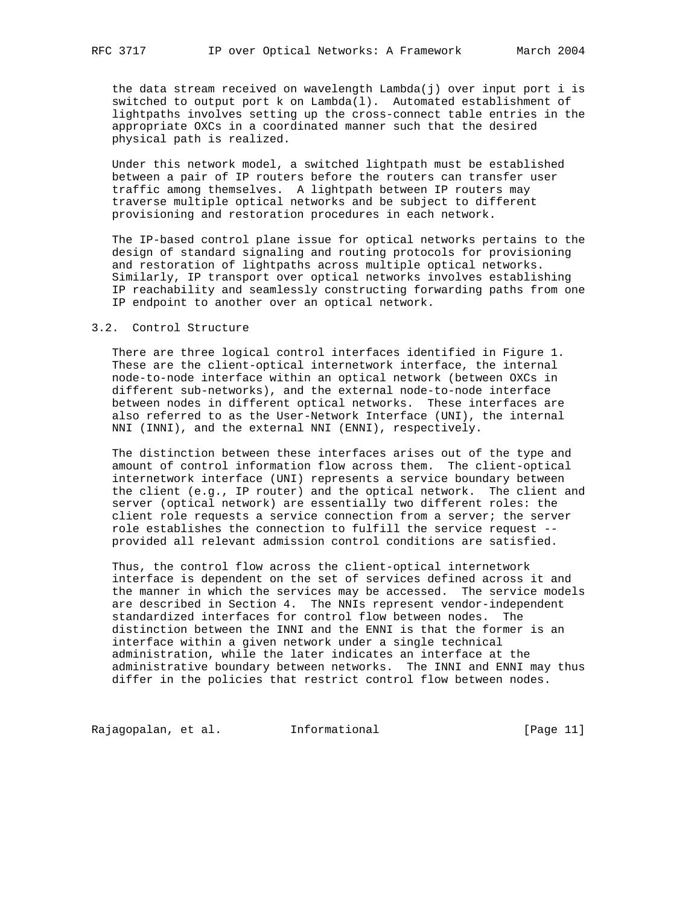the data stream received on wavelength Lambda(j) over input port i is switched to output port k on Lambda(l). Automated establishment of lightpaths involves setting up the cross-connect table entries in the appropriate OXCs in a coordinated manner such that the desired physical path is realized.

 Under this network model, a switched lightpath must be established between a pair of IP routers before the routers can transfer user traffic among themselves. A lightpath between IP routers may traverse multiple optical networks and be subject to different provisioning and restoration procedures in each network.

 The IP-based control plane issue for optical networks pertains to the design of standard signaling and routing protocols for provisioning and restoration of lightpaths across multiple optical networks. Similarly, IP transport over optical networks involves establishing IP reachability and seamlessly constructing forwarding paths from one IP endpoint to another over an optical network.

## 3.2. Control Structure

 There are three logical control interfaces identified in Figure 1. These are the client-optical internetwork interface, the internal node-to-node interface within an optical network (between OXCs in different sub-networks), and the external node-to-node interface between nodes in different optical networks. These interfaces are also referred to as the User-Network Interface (UNI), the internal NNI (INNI), and the external NNI (ENNI), respectively.

 The distinction between these interfaces arises out of the type and amount of control information flow across them. The client-optical internetwork interface (UNI) represents a service boundary between the client (e.g., IP router) and the optical network. The client and server (optical network) are essentially two different roles: the client role requests a service connection from a server; the server role establishes the connection to fulfill the service request - provided all relevant admission control conditions are satisfied.

 Thus, the control flow across the client-optical internetwork interface is dependent on the set of services defined across it and the manner in which the services may be accessed. The service models are described in Section 4. The NNIs represent vendor-independent standardized interfaces for control flow between nodes. The distinction between the INNI and the ENNI is that the former is an interface within a given network under a single technical administration, while the later indicates an interface at the administrative boundary between networks. The INNI and ENNI may thus differ in the policies that restrict control flow between nodes.

Rajagopalan, et al. 1nformational 1999 [Page 11]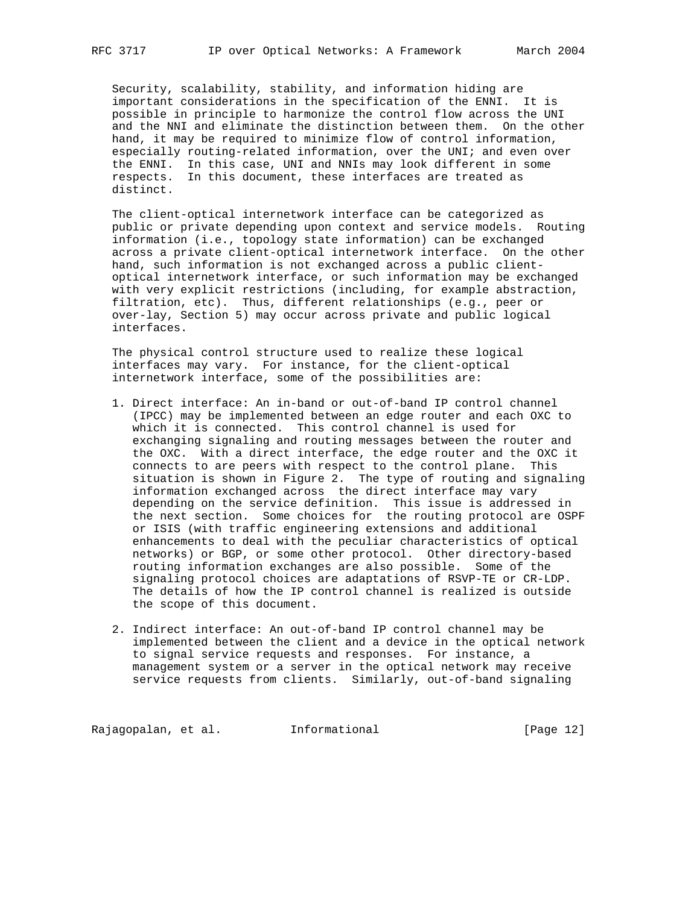Security, scalability, stability, and information hiding are important considerations in the specification of the ENNI. It is possible in principle to harmonize the control flow across the UNI and the NNI and eliminate the distinction between them. On the other hand, it may be required to minimize flow of control information, especially routing-related information, over the UNI; and even over the ENNI. In this case, UNI and NNIs may look different in some respects. In this document, these interfaces are treated as distinct.

 The client-optical internetwork interface can be categorized as public or private depending upon context and service models. Routing information (i.e., topology state information) can be exchanged across a private client-optical internetwork interface. On the other hand, such information is not exchanged across a public client optical internetwork interface, or such information may be exchanged with very explicit restrictions (including, for example abstraction, filtration, etc). Thus, different relationships (e.g., peer or over-lay, Section 5) may occur across private and public logical interfaces.

 The physical control structure used to realize these logical interfaces may vary. For instance, for the client-optical internetwork interface, some of the possibilities are:

- 1. Direct interface: An in-band or out-of-band IP control channel (IPCC) may be implemented between an edge router and each OXC to which it is connected. This control channel is used for exchanging signaling and routing messages between the router and the OXC. With a direct interface, the edge router and the OXC it connects to are peers with respect to the control plane. This situation is shown in Figure 2. The type of routing and signaling information exchanged across the direct interface may vary depending on the service definition. This issue is addressed in the next section. Some choices for the routing protocol are OSPF or ISIS (with traffic engineering extensions and additional enhancements to deal with the peculiar characteristics of optical networks) or BGP, or some other protocol. Other directory-based routing information exchanges are also possible. Some of the signaling protocol choices are adaptations of RSVP-TE or CR-LDP. The details of how the IP control channel is realized is outside the scope of this document.
- 2. Indirect interface: An out-of-band IP control channel may be implemented between the client and a device in the optical network to signal service requests and responses. For instance, a management system or a server in the optical network may receive service requests from clients. Similarly, out-of-band signaling

Rajagopalan, et al. 1nformational 1999 [Page 12]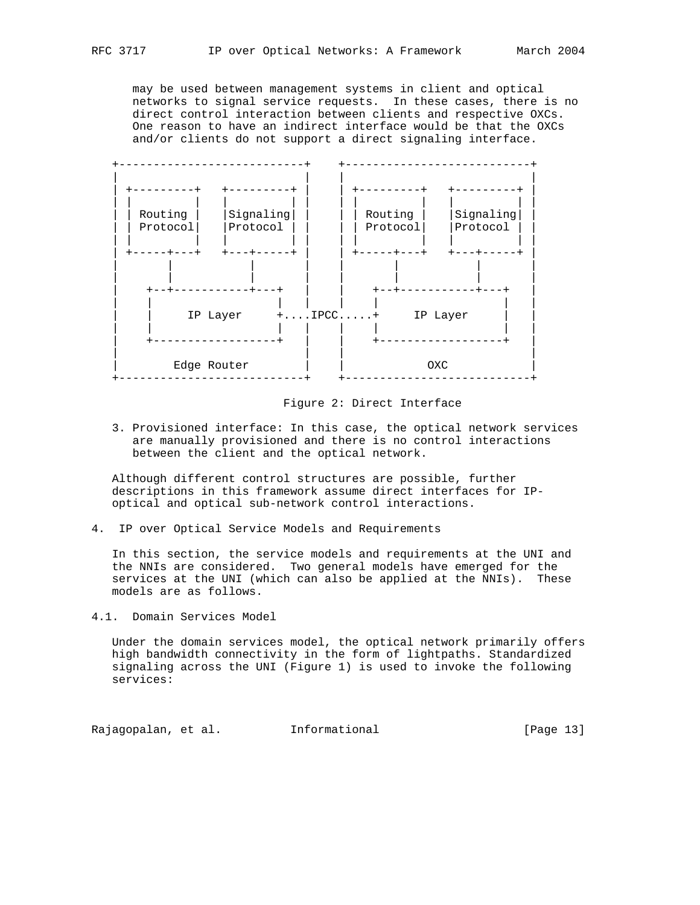may be used between management systems in client and optical networks to signal service requests. In these cases, there is no direct control interaction between clients and respective OXCs. One reason to have an indirect interface would be that the OXCs and/or clients do not support a direct signaling interface.



Figure 2: Direct Interface

 3. Provisioned interface: In this case, the optical network services are manually provisioned and there is no control interactions between the client and the optical network.

 Although different control structures are possible, further descriptions in this framework assume direct interfaces for IP optical and optical sub-network control interactions.

4. IP over Optical Service Models and Requirements

 In this section, the service models and requirements at the UNI and the NNIs are considered. Two general models have emerged for the services at the UNI (which can also be applied at the NNIs). These models are as follows.

4.1. Domain Services Model

 Under the domain services model, the optical network primarily offers high bandwidth connectivity in the form of lightpaths. Standardized signaling across the UNI (Figure 1) is used to invoke the following services:

Rajagopalan, et al. 1nformational 1999 [Page 13]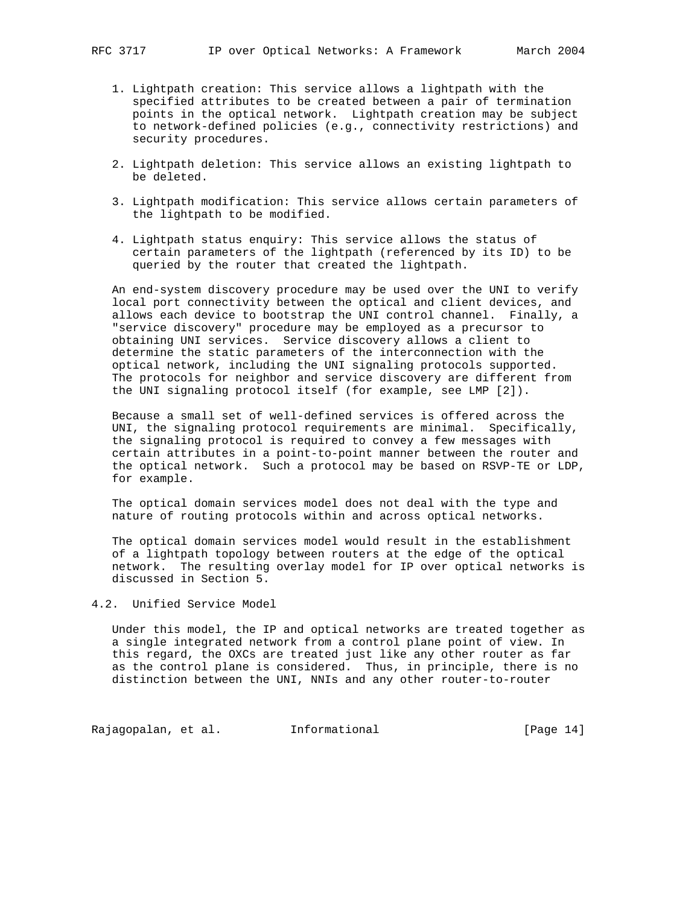- 1. Lightpath creation: This service allows a lightpath with the specified attributes to be created between a pair of termination points in the optical network. Lightpath creation may be subject to network-defined policies (e.g., connectivity restrictions) and security procedures.
- 2. Lightpath deletion: This service allows an existing lightpath to be deleted.
- 3. Lightpath modification: This service allows certain parameters of the lightpath to be modified.
- 4. Lightpath status enquiry: This service allows the status of certain parameters of the lightpath (referenced by its ID) to be queried by the router that created the lightpath.

 An end-system discovery procedure may be used over the UNI to verify local port connectivity between the optical and client devices, and allows each device to bootstrap the UNI control channel. Finally, a "service discovery" procedure may be employed as a precursor to obtaining UNI services. Service discovery allows a client to determine the static parameters of the interconnection with the optical network, including the UNI signaling protocols supported. The protocols for neighbor and service discovery are different from the UNI signaling protocol itself (for example, see LMP [2]).

 Because a small set of well-defined services is offered across the UNI, the signaling protocol requirements are minimal. Specifically, the signaling protocol is required to convey a few messages with certain attributes in a point-to-point manner between the router and the optical network. Such a protocol may be based on RSVP-TE or LDP, for example.

 The optical domain services model does not deal with the type and nature of routing protocols within and across optical networks.

 The optical domain services model would result in the establishment of a lightpath topology between routers at the edge of the optical network. The resulting overlay model for IP over optical networks is discussed in Section 5.

## 4.2. Unified Service Model

 Under this model, the IP and optical networks are treated together as a single integrated network from a control plane point of view. In this regard, the OXCs are treated just like any other router as far as the control plane is considered. Thus, in principle, there is no distinction between the UNI, NNIs and any other router-to-router

Rajagopalan, et al. 1nformational 1999 [Page 14]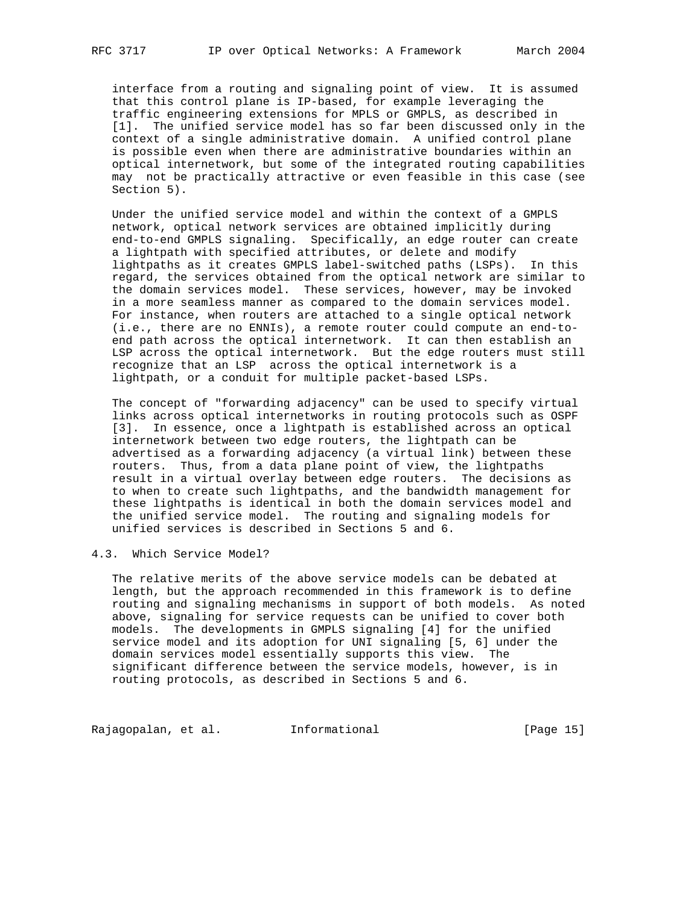interface from a routing and signaling point of view. It is assumed that this control plane is IP-based, for example leveraging the traffic engineering extensions for MPLS or GMPLS, as described in [1]. The unified service model has so far been discussed only in the context of a single administrative domain. A unified control plane is possible even when there are administrative boundaries within an optical internetwork, but some of the integrated routing capabilities may not be practically attractive or even feasible in this case (see Section 5).

 Under the unified service model and within the context of a GMPLS network, optical network services are obtained implicitly during end-to-end GMPLS signaling. Specifically, an edge router can create a lightpath with specified attributes, or delete and modify lightpaths as it creates GMPLS label-switched paths (LSPs). In this regard, the services obtained from the optical network are similar to the domain services model. These services, however, may be invoked in a more seamless manner as compared to the domain services model. For instance, when routers are attached to a single optical network (i.e., there are no ENNIs), a remote router could compute an end-to end path across the optical internetwork. It can then establish an LSP across the optical internetwork. But the edge routers must still recognize that an LSP across the optical internetwork is a lightpath, or a conduit for multiple packet-based LSPs.

 The concept of "forwarding adjacency" can be used to specify virtual links across optical internetworks in routing protocols such as OSPF [3]. In essence, once a lightpath is established across an optical internetwork between two edge routers, the lightpath can be advertised as a forwarding adjacency (a virtual link) between these routers. Thus, from a data plane point of view, the lightpaths result in a virtual overlay between edge routers. The decisions as to when to create such lightpaths, and the bandwidth management for these lightpaths is identical in both the domain services model and the unified service model. The routing and signaling models for unified services is described in Sections 5 and 6.

# 4.3. Which Service Model?

 The relative merits of the above service models can be debated at length, but the approach recommended in this framework is to define routing and signaling mechanisms in support of both models. As noted above, signaling for service requests can be unified to cover both models. The developments in GMPLS signaling [4] for the unified service model and its adoption for UNI signaling [5, 6] under the domain services model essentially supports this view. The significant difference between the service models, however, is in routing protocols, as described in Sections 5 and 6.

Rajagopalan, et al. 1nformational 1999 [Page 15]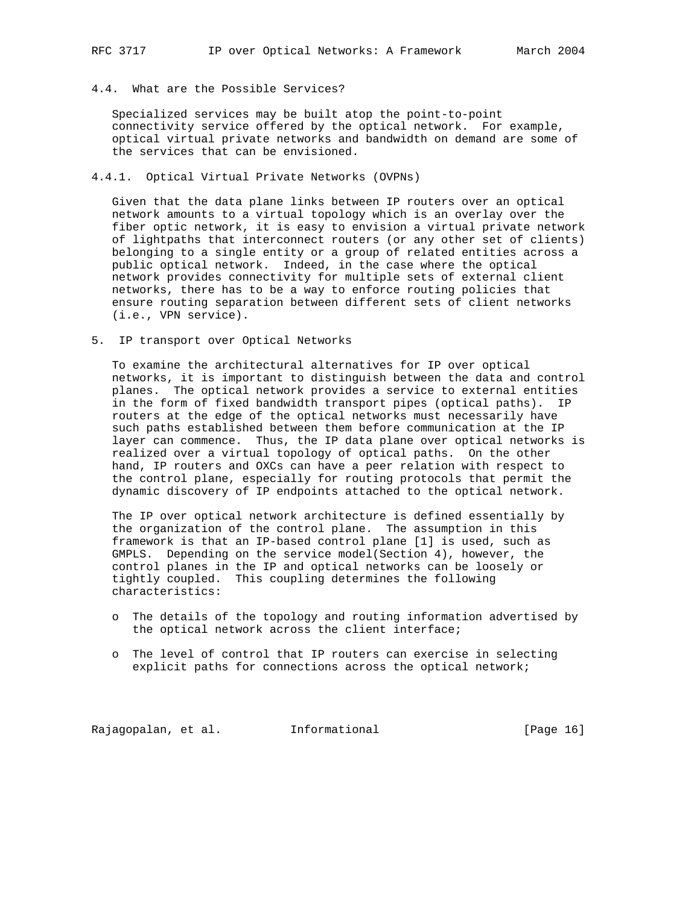## 4.4. What are the Possible Services?

 Specialized services may be built atop the point-to-point connectivity service offered by the optical network. For example, optical virtual private networks and bandwidth on demand are some of the services that can be envisioned.

## 4.4.1. Optical Virtual Private Networks (OVPNs)

 Given that the data plane links between IP routers over an optical network amounts to a virtual topology which is an overlay over the fiber optic network, it is easy to envision a virtual private network of lightpaths that interconnect routers (or any other set of clients) belonging to a single entity or a group of related entities across a public optical network. Indeed, in the case where the optical network provides connectivity for multiple sets of external client networks, there has to be a way to enforce routing policies that ensure routing separation between different sets of client networks (i.e., VPN service).

5. IP transport over Optical Networks

 To examine the architectural alternatives for IP over optical networks, it is important to distinguish between the data and control planes. The optical network provides a service to external entities in the form of fixed bandwidth transport pipes (optical paths). IP routers at the edge of the optical networks must necessarily have such paths established between them before communication at the IP layer can commence. Thus, the IP data plane over optical networks is realized over a virtual topology of optical paths. On the other hand, IP routers and OXCs can have a peer relation with respect to the control plane, especially for routing protocols that permit the dynamic discovery of IP endpoints attached to the optical network.

 The IP over optical network architecture is defined essentially by the organization of the control plane. The assumption in this framework is that an IP-based control plane [1] is used, such as GMPLS. Depending on the service model(Section 4), however, the control planes in the IP and optical networks can be loosely or tightly coupled. This coupling determines the following characteristics:

- o The details of the topology and routing information advertised by the optical network across the client interface;
- o The level of control that IP routers can exercise in selecting explicit paths for connections across the optical network;

Rajagopalan, et al. 1nformational 1999 [Page 16]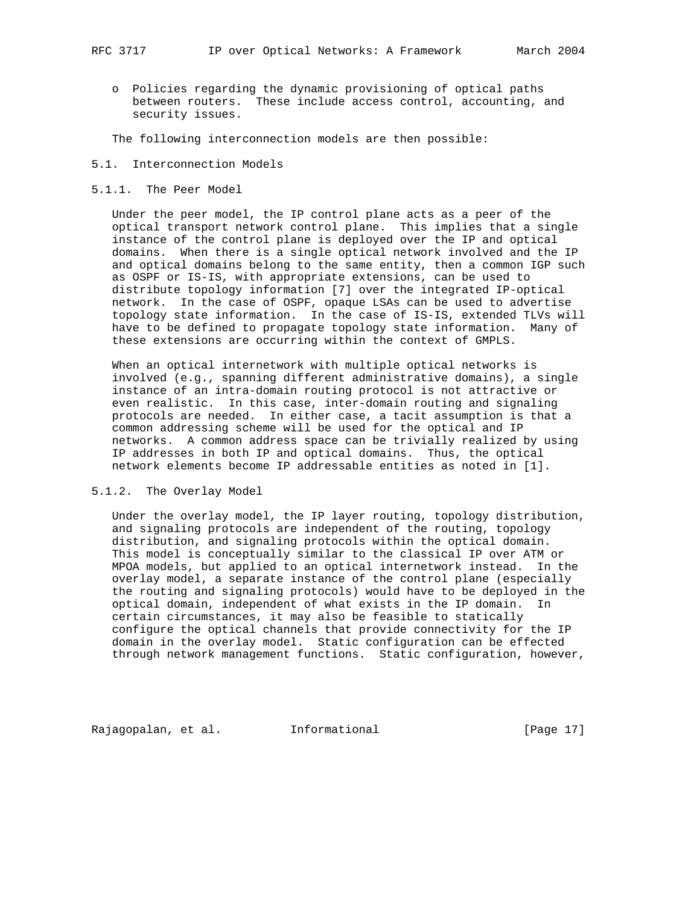o Policies regarding the dynamic provisioning of optical paths between routers. These include access control, accounting, and security issues.

The following interconnection models are then possible:

#### 5.1. Interconnection Models

#### 5.1.1. The Peer Model

 Under the peer model, the IP control plane acts as a peer of the optical transport network control plane. This implies that a single instance of the control plane is deployed over the IP and optical domains. When there is a single optical network involved and the IP and optical domains belong to the same entity, then a common IGP such as OSPF or IS-IS, with appropriate extensions, can be used to distribute topology information [7] over the integrated IP-optical network. In the case of OSPF, opaque LSAs can be used to advertise topology state information. In the case of IS-IS, extended TLVs will have to be defined to propagate topology state information. Many of these extensions are occurring within the context of GMPLS.

 When an optical internetwork with multiple optical networks is involved (e.g., spanning different administrative domains), a single instance of an intra-domain routing protocol is not attractive or even realistic. In this case, inter-domain routing and signaling protocols are needed. In either case, a tacit assumption is that a common addressing scheme will be used for the optical and IP networks. A common address space can be trivially realized by using IP addresses in both IP and optical domains. Thus, the optical network elements become IP addressable entities as noted in [1].

## 5.1.2. The Overlay Model

 Under the overlay model, the IP layer routing, topology distribution, and signaling protocols are independent of the routing, topology distribution, and signaling protocols within the optical domain. This model is conceptually similar to the classical IP over ATM or MPOA models, but applied to an optical internetwork instead. In the overlay model, a separate instance of the control plane (especially the routing and signaling protocols) would have to be deployed in the optical domain, independent of what exists in the IP domain. In certain circumstances, it may also be feasible to statically configure the optical channels that provide connectivity for the IP domain in the overlay model. Static configuration can be effected through network management functions. Static configuration, however,

Rajagopalan, et al. Informational [Page 17]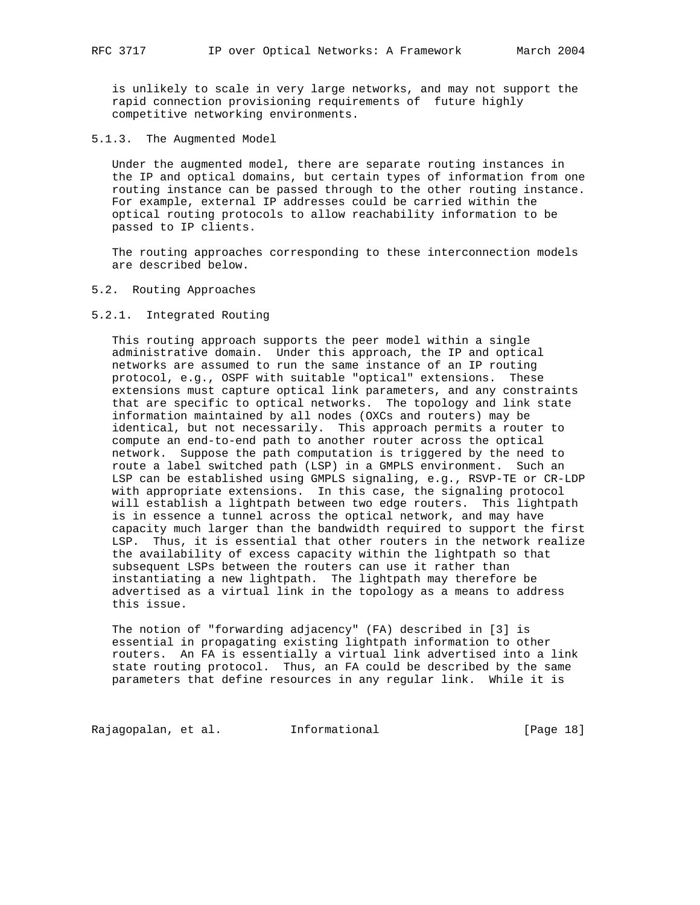is unlikely to scale in very large networks, and may not support the rapid connection provisioning requirements of future highly competitive networking environments.

5.1.3. The Augmented Model

 Under the augmented model, there are separate routing instances in the IP and optical domains, but certain types of information from one routing instance can be passed through to the other routing instance. For example, external IP addresses could be carried within the optical routing protocols to allow reachability information to be passed to IP clients.

 The routing approaches corresponding to these interconnection models are described below.

#### 5.2. Routing Approaches

## 5.2.1. Integrated Routing

 This routing approach supports the peer model within a single administrative domain. Under this approach, the IP and optical networks are assumed to run the same instance of an IP routing protocol, e.g., OSPF with suitable "optical" extensions. These extensions must capture optical link parameters, and any constraints that are specific to optical networks. The topology and link state information maintained by all nodes (OXCs and routers) may be identical, but not necessarily. This approach permits a router to compute an end-to-end path to another router across the optical network. Suppose the path computation is triggered by the need to route a label switched path (LSP) in a GMPLS environment. Such an LSP can be established using GMPLS signaling, e.g., RSVP-TE or CR-LDP with appropriate extensions. In this case, the signaling protocol will establish a lightpath between two edge routers. This lightpath is in essence a tunnel across the optical network, and may have capacity much larger than the bandwidth required to support the first LSP. Thus, it is essential that other routers in the network realize the availability of excess capacity within the lightpath so that subsequent LSPs between the routers can use it rather than instantiating a new lightpath. The lightpath may therefore be advertised as a virtual link in the topology as a means to address this issue.

 The notion of "forwarding adjacency" (FA) described in [3] is essential in propagating existing lightpath information to other routers. An FA is essentially a virtual link advertised into a link state routing protocol. Thus, an FA could be described by the same parameters that define resources in any regular link. While it is

Rajagopalan, et al. 1nformational 1999 [Page 18]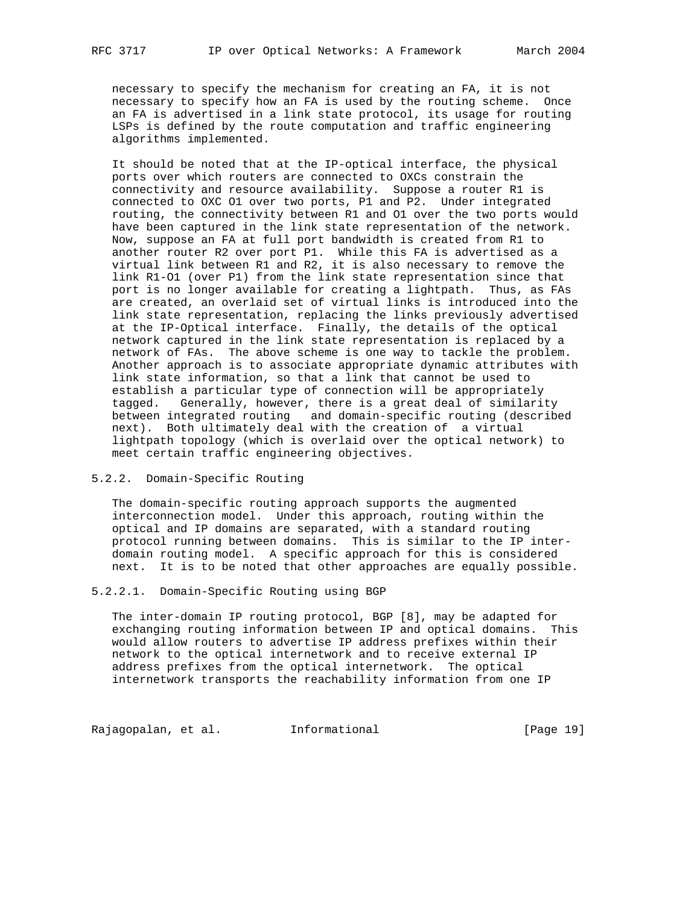necessary to specify the mechanism for creating an FA, it is not necessary to specify how an FA is used by the routing scheme. Once an FA is advertised in a link state protocol, its usage for routing LSPs is defined by the route computation and traffic engineering algorithms implemented.

 It should be noted that at the IP-optical interface, the physical ports over which routers are connected to OXCs constrain the connectivity and resource availability. Suppose a router R1 is connected to OXC O1 over two ports, P1 and P2. Under integrated routing, the connectivity between R1 and O1 over the two ports would have been captured in the link state representation of the network. Now, suppose an FA at full port bandwidth is created from R1 to another router R2 over port P1. While this FA is advertised as a virtual link between R1 and R2, it is also necessary to remove the link R1-O1 (over P1) from the link state representation since that port is no longer available for creating a lightpath. Thus, as FAs are created, an overlaid set of virtual links is introduced into the link state representation, replacing the links previously advertised at the IP-Optical interface. Finally, the details of the optical network captured in the link state representation is replaced by a network of FAs. The above scheme is one way to tackle the problem. Another approach is to associate appropriate dynamic attributes with link state information, so that a link that cannot be used to establish a particular type of connection will be appropriately tagged. Generally, however, there is a great deal of similarity between integrated routing and domain-specific routing (described next). Both ultimately deal with the creation of a virtual lightpath topology (which is overlaid over the optical network) to meet certain traffic engineering objectives.

## 5.2.2. Domain-Specific Routing

 The domain-specific routing approach supports the augmented interconnection model. Under this approach, routing within the optical and IP domains are separated, with a standard routing protocol running between domains. This is similar to the IP inter domain routing model. A specific approach for this is considered next. It is to be noted that other approaches are equally possible.

5.2.2.1. Domain-Specific Routing using BGP

 The inter-domain IP routing protocol, BGP [8], may be adapted for exchanging routing information between IP and optical domains. This would allow routers to advertise IP address prefixes within their network to the optical internetwork and to receive external IP address prefixes from the optical internetwork. The optical internetwork transports the reachability information from one IP

Rajagopalan, et al. 1nformational 1917 [Page 19]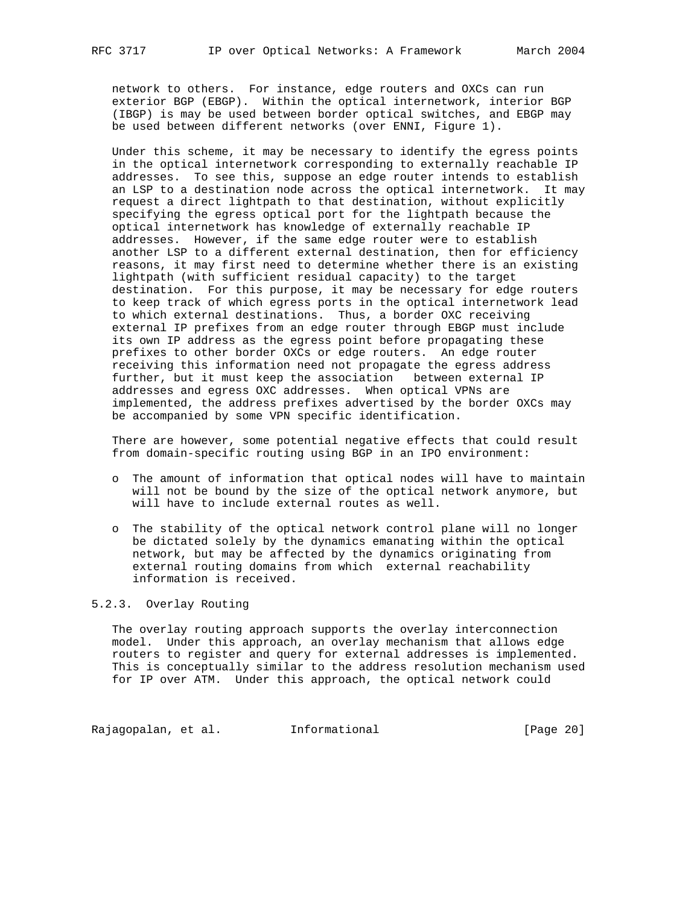network to others. For instance, edge routers and OXCs can run exterior BGP (EBGP). Within the optical internetwork, interior BGP (IBGP) is may be used between border optical switches, and EBGP may be used between different networks (over ENNI, Figure 1).

 Under this scheme, it may be necessary to identify the egress points in the optical internetwork corresponding to externally reachable IP addresses. To see this, suppose an edge router intends to establish an LSP to a destination node across the optical internetwork. It may request a direct lightpath to that destination, without explicitly specifying the egress optical port for the lightpath because the optical internetwork has knowledge of externally reachable IP addresses. However, if the same edge router were to establish another LSP to a different external destination, then for efficiency reasons, it may first need to determine whether there is an existing lightpath (with sufficient residual capacity) to the target destination. For this purpose, it may be necessary for edge routers to keep track of which egress ports in the optical internetwork lead to which external destinations. Thus, a border OXC receiving external IP prefixes from an edge router through EBGP must include its own IP address as the egress point before propagating these prefixes to other border OXCs or edge routers. An edge router receiving this information need not propagate the egress address further, but it must keep the association between external IP addresses and egress OXC addresses. When optical VPNs are implemented, the address prefixes advertised by the border OXCs may be accompanied by some VPN specific identification.

 There are however, some potential negative effects that could result from domain-specific routing using BGP in an IPO environment:

- o The amount of information that optical nodes will have to maintain will not be bound by the size of the optical network anymore, but will have to include external routes as well.
- o The stability of the optical network control plane will no longer be dictated solely by the dynamics emanating within the optical network, but may be affected by the dynamics originating from external routing domains from which external reachability information is received.

## 5.2.3. Overlay Routing

 The overlay routing approach supports the overlay interconnection model. Under this approach, an overlay mechanism that allows edge routers to register and query for external addresses is implemented. This is conceptually similar to the address resolution mechanism used for IP over ATM. Under this approach, the optical network could

Rajagopalan, et al. 1nformational 1999 [Page 20]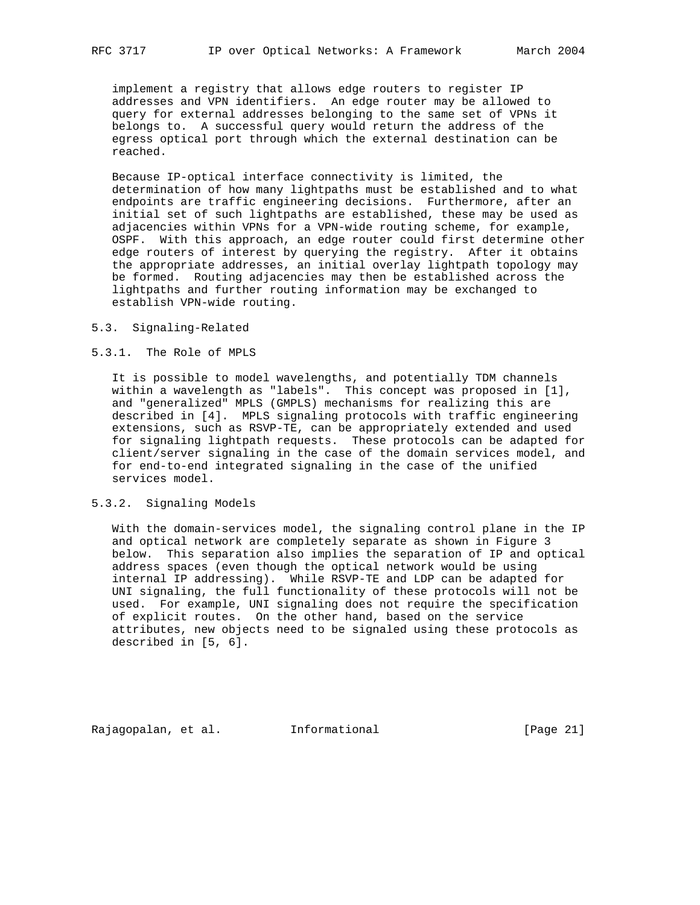implement a registry that allows edge routers to register IP addresses and VPN identifiers. An edge router may be allowed to query for external addresses belonging to the same set of VPNs it belongs to. A successful query would return the address of the egress optical port through which the external destination can be reached.

 Because IP-optical interface connectivity is limited, the determination of how many lightpaths must be established and to what endpoints are traffic engineering decisions. Furthermore, after an initial set of such lightpaths are established, these may be used as adjacencies within VPNs for a VPN-wide routing scheme, for example, OSPF. With this approach, an edge router could first determine other edge routers of interest by querying the registry. After it obtains the appropriate addresses, an initial overlay lightpath topology may be formed. Routing adjacencies may then be established across the lightpaths and further routing information may be exchanged to establish VPN-wide routing.

#### 5.3. Signaling-Related

#### 5.3.1. The Role of MPLS

 It is possible to model wavelengths, and potentially TDM channels within a wavelength as "labels". This concept was proposed in [1], and "generalized" MPLS (GMPLS) mechanisms for realizing this are described in [4]. MPLS signaling protocols with traffic engineering extensions, such as RSVP-TE, can be appropriately extended and used for signaling lightpath requests. These protocols can be adapted for client/server signaling in the case of the domain services model, and for end-to-end integrated signaling in the case of the unified services model.

#### 5.3.2. Signaling Models

 With the domain-services model, the signaling control plane in the IP and optical network are completely separate as shown in Figure 3 below. This separation also implies the separation of IP and optical address spaces (even though the optical network would be using internal IP addressing). While RSVP-TE and LDP can be adapted for UNI signaling, the full functionality of these protocols will not be used. For example, UNI signaling does not require the specification of explicit routes. On the other hand, based on the service attributes, new objects need to be signaled using these protocols as described in [5, 6].

Rajagopalan, et al. Informational [Page 21]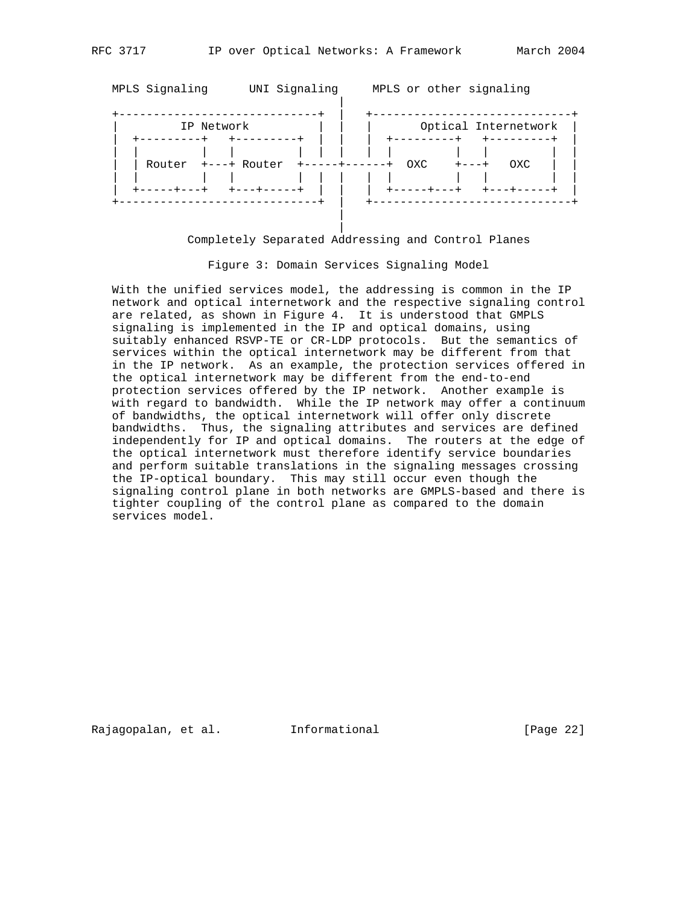|

| MPLS Signaling | UNI Signaling | MPLS or other signaling                                |
|----------------|---------------|--------------------------------------------------------|
| IP Network     |               | Optical Internetwork                                   |
| Router         | +---+ Router  | $+ - - - - + - - - - - +$<br>OXC<br>OXC<br>$+ - - - +$ |
|                |               |                                                        |

## Completely Separated Addressing and Control Planes

Figure 3: Domain Services Signaling Model

 With the unified services model, the addressing is common in the IP network and optical internetwork and the respective signaling control are related, as shown in Figure 4. It is understood that GMPLS signaling is implemented in the IP and optical domains, using suitably enhanced RSVP-TE or CR-LDP protocols. But the semantics of services within the optical internetwork may be different from that in the IP network. As an example, the protection services offered in the optical internetwork may be different from the end-to-end protection services offered by the IP network. Another example is with regard to bandwidth. While the IP network may offer a continuum of bandwidths, the optical internetwork will offer only discrete bandwidths. Thus, the signaling attributes and services are defined independently for IP and optical domains. The routers at the edge of the optical internetwork must therefore identify service boundaries and perform suitable translations in the signaling messages crossing the IP-optical boundary. This may still occur even though the signaling control plane in both networks are GMPLS-based and there is tighter coupling of the control plane as compared to the domain services model.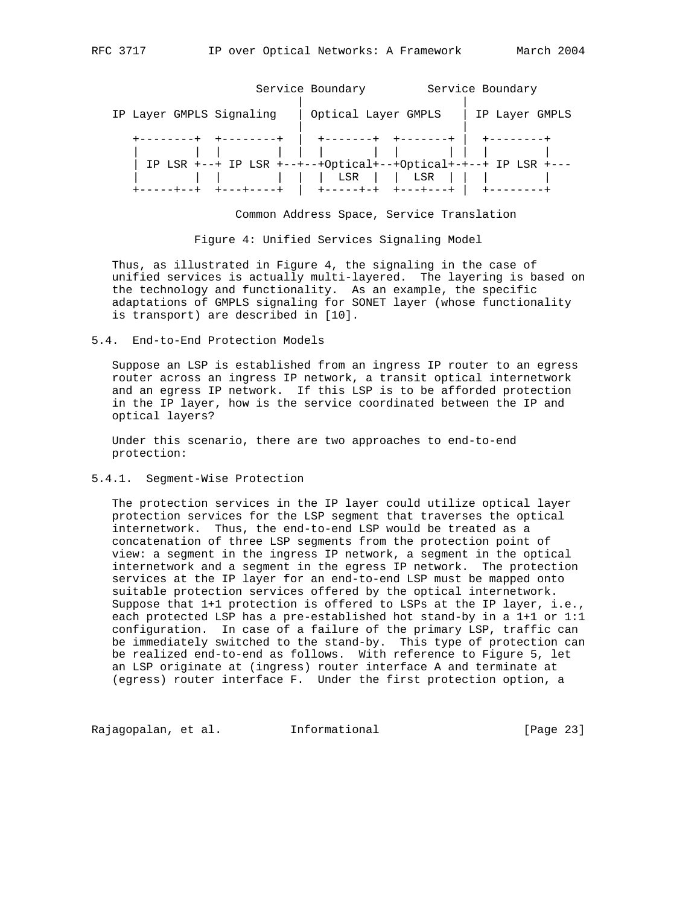Service Boundary Service Boundary | | IP Layer GMPLS Signaling | Optical Layer GMPLS | IP Layer GMPLS | | +--------+ +--------+ | +-------+ +-------+ | +--------+ | | | | | | | | | | | | | IP LSR +--+ IP LSR +--+--+Optical+--+Optical+-+--+ IP LSR +--- | | | | | | LSR | | LSR | | | | +-----+--+ +---+----+ | +-----+-+ +---+---+ | +--------+

Common Address Space, Service Translation

Figure 4: Unified Services Signaling Model

 Thus, as illustrated in Figure 4, the signaling in the case of unified services is actually multi-layered. The layering is based on the technology and functionality. As an example, the specific adaptations of GMPLS signaling for SONET layer (whose functionality is transport) are described in [10].

#### 5.4. End-to-End Protection Models

 Suppose an LSP is established from an ingress IP router to an egress router across an ingress IP network, a transit optical internetwork and an egress IP network. If this LSP is to be afforded protection in the IP layer, how is the service coordinated between the IP and optical layers?

 Under this scenario, there are two approaches to end-to-end protection:

## 5.4.1. Segment-Wise Protection

 The protection services in the IP layer could utilize optical layer protection services for the LSP segment that traverses the optical internetwork. Thus, the end-to-end LSP would be treated as a concatenation of three LSP segments from the protection point of view: a segment in the ingress IP network, a segment in the optical internetwork and a segment in the egress IP network. The protection services at the IP layer for an end-to-end LSP must be mapped onto suitable protection services offered by the optical internetwork. Suppose that 1+1 protection is offered to LSPs at the IP layer, i.e., each protected LSP has a pre-established hot stand-by in a 1+1 or 1:1 configuration. In case of a failure of the primary LSP, traffic can be immediately switched to the stand-by. This type of protection can be realized end-to-end as follows. With reference to Figure 5, let an LSP originate at (ingress) router interface A and terminate at (egress) router interface F. Under the first protection option, a

Rajagopalan, et al. 1nformational 1999 [Page 23]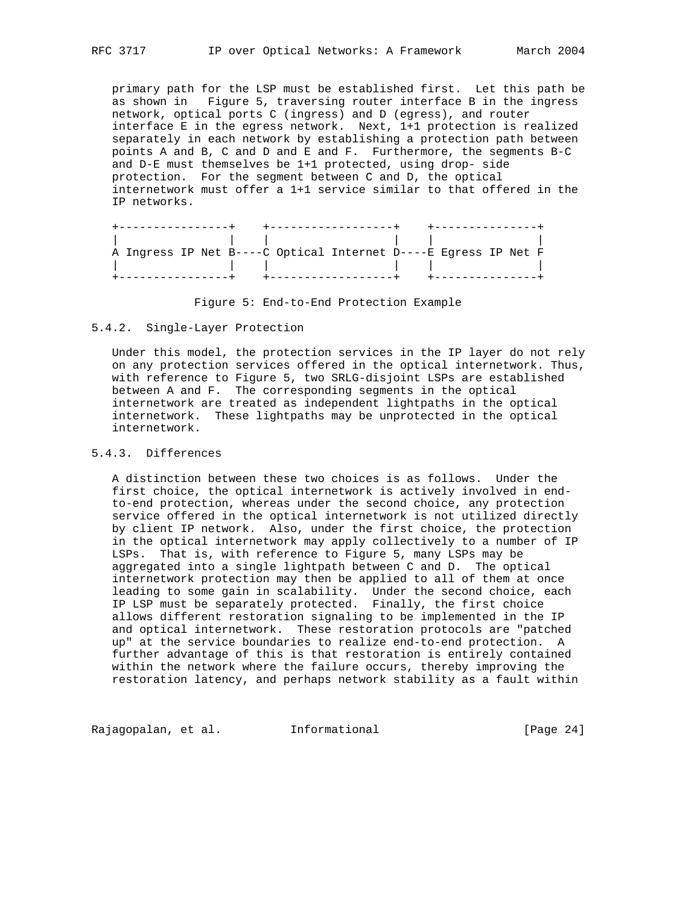primary path for the LSP must be established first. Let this path be as shown in Figure 5, traversing router interface B in the ingress network, optical ports C (ingress) and D (egress), and router interface E in the egress network. Next, 1+1 protection is realized separately in each network by establishing a protection path between points A and B, C and D and E and F. Furthermore, the segments B-C and D-E must themselves be 1+1 protected, using drop- side protection. For the segment between C and D, the optical internetwork must offer a 1+1 service similar to that offered in the IP networks.

|  |  | A Ingress IP Net B----C Optical Internet D----E Eqress IP Net F |  |
|--|--|-----------------------------------------------------------------|--|
|  |  |                                                                 |  |
|  |  |                                                                 |  |

Figure 5: End-to-End Protection Example

#### 5.4.2. Single-Layer Protection

 Under this model, the protection services in the IP layer do not rely on any protection services offered in the optical internetwork. Thus, with reference to Figure 5, two SRLG-disjoint LSPs are established between A and F. The corresponding segments in the optical internetwork are treated as independent lightpaths in the optical internetwork. These lightpaths may be unprotected in the optical internetwork.

# 5.4.3. Differences

 A distinction between these two choices is as follows. Under the first choice, the optical internetwork is actively involved in end to-end protection, whereas under the second choice, any protection service offered in the optical internetwork is not utilized directly by client IP network. Also, under the first choice, the protection in the optical internetwork may apply collectively to a number of IP LSPs. That is, with reference to Figure 5, many LSPs may be aggregated into a single lightpath between C and D. The optical internetwork protection may then be applied to all of them at once leading to some gain in scalability. Under the second choice, each IP LSP must be separately protected. Finally, the first choice allows different restoration signaling to be implemented in the IP and optical internetwork. These restoration protocols are "patched up" at the service boundaries to realize end-to-end protection. A further advantage of this is that restoration is entirely contained within the network where the failure occurs, thereby improving the restoration latency, and perhaps network stability as a fault within

Rajagopalan, et al. 1nformational 1999 [Page 24]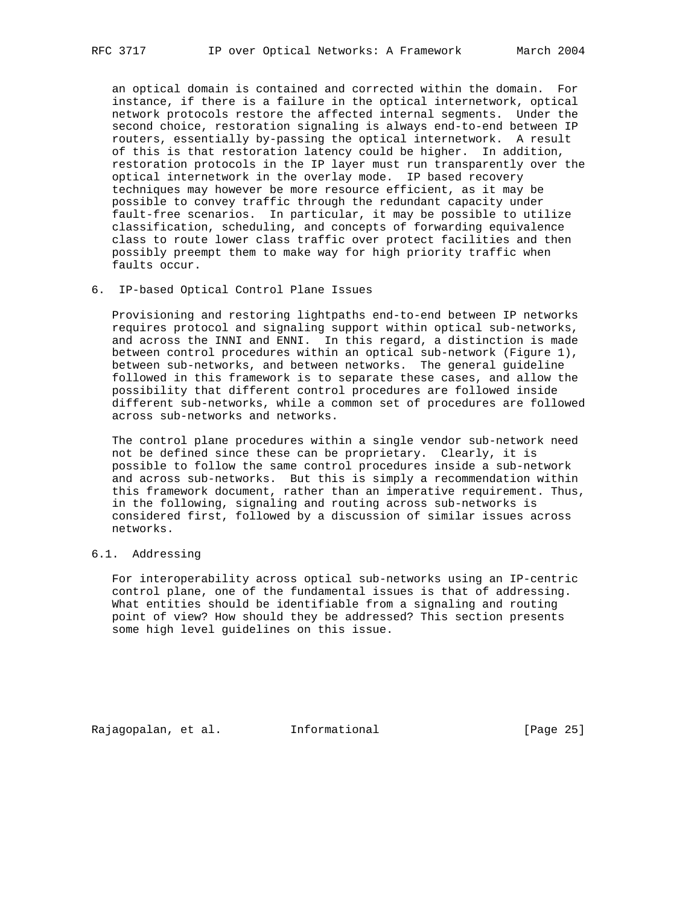an optical domain is contained and corrected within the domain. For instance, if there is a failure in the optical internetwork, optical network protocols restore the affected internal segments. Under the second choice, restoration signaling is always end-to-end between IP routers, essentially by-passing the optical internetwork. A result of this is that restoration latency could be higher. In addition, restoration protocols in the IP layer must run transparently over the optical internetwork in the overlay mode. IP based recovery techniques may however be more resource efficient, as it may be possible to convey traffic through the redundant capacity under fault-free scenarios. In particular, it may be possible to utilize classification, scheduling, and concepts of forwarding equivalence class to route lower class traffic over protect facilities and then possibly preempt them to make way for high priority traffic when faults occur.

6. IP-based Optical Control Plane Issues

 Provisioning and restoring lightpaths end-to-end between IP networks requires protocol and signaling support within optical sub-networks, and across the INNI and ENNI. In this regard, a distinction is made between control procedures within an optical sub-network (Figure 1), between sub-networks, and between networks. The general guideline followed in this framework is to separate these cases, and allow the possibility that different control procedures are followed inside different sub-networks, while a common set of procedures are followed across sub-networks and networks.

 The control plane procedures within a single vendor sub-network need not be defined since these can be proprietary. Clearly, it is possible to follow the same control procedures inside a sub-network and across sub-networks. But this is simply a recommendation within this framework document, rather than an imperative requirement. Thus, in the following, signaling and routing across sub-networks is considered first, followed by a discussion of similar issues across networks.

# 6.1. Addressing

 For interoperability across optical sub-networks using an IP-centric control plane, one of the fundamental issues is that of addressing. What entities should be identifiable from a signaling and routing point of view? How should they be addressed? This section presents some high level guidelines on this issue.

Rajagopalan, et al. Informational [Page 25]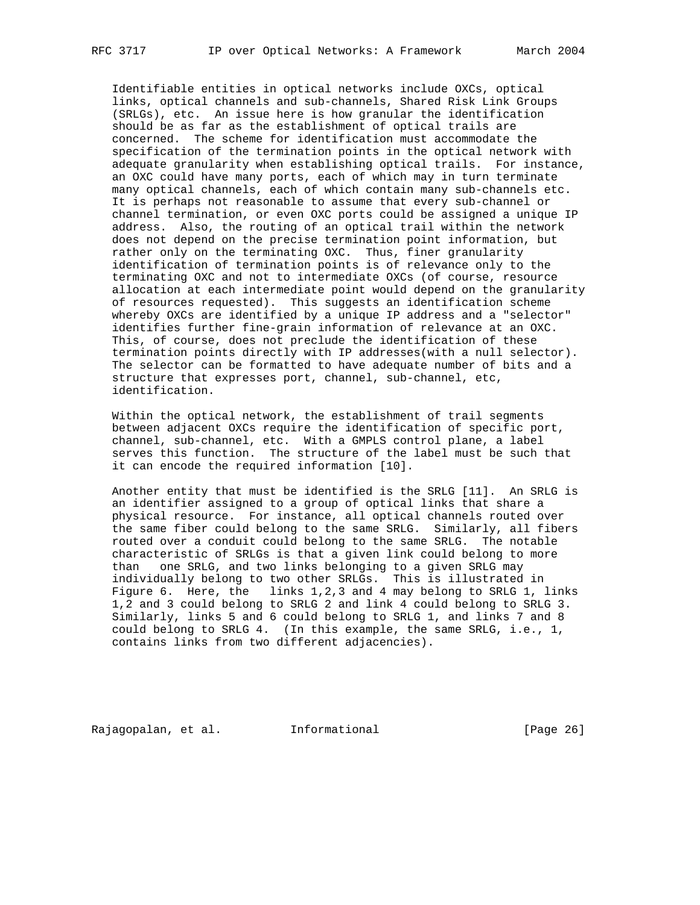Identifiable entities in optical networks include OXCs, optical links, optical channels and sub-channels, Shared Risk Link Groups (SRLGs), etc. An issue here is how granular the identification should be as far as the establishment of optical trails are concerned. The scheme for identification must accommodate the specification of the termination points in the optical network with adequate granularity when establishing optical trails. For instance, an OXC could have many ports, each of which may in turn terminate many optical channels, each of which contain many sub-channels etc. It is perhaps not reasonable to assume that every sub-channel or channel termination, or even OXC ports could be assigned a unique IP address. Also, the routing of an optical trail within the network does not depend on the precise termination point information, but rather only on the terminating OXC. Thus, finer granularity identification of termination points is of relevance only to the terminating OXC and not to intermediate OXCs (of course, resource allocation at each intermediate point would depend on the granularity of resources requested). This suggests an identification scheme whereby OXCs are identified by a unique IP address and a "selector" identifies further fine-grain information of relevance at an OXC. This, of course, does not preclude the identification of these termination points directly with IP addresses(with a null selector). The selector can be formatted to have adequate number of bits and a structure that expresses port, channel, sub-channel, etc, identification.

 Within the optical network, the establishment of trail segments between adjacent OXCs require the identification of specific port, channel, sub-channel, etc. With a GMPLS control plane, a label serves this function. The structure of the label must be such that it can encode the required information [10].

 Another entity that must be identified is the SRLG [11]. An SRLG is an identifier assigned to a group of optical links that share a physical resource. For instance, all optical channels routed over the same fiber could belong to the same SRLG. Similarly, all fibers routed over a conduit could belong to the same SRLG. The notable characteristic of SRLGs is that a given link could belong to more than one SRLG, and two links belonging to a given SRLG may individually belong to two other SRLGs. This is illustrated in Figure 6. Here, the links 1,2,3 and 4 may belong to SRLG 1, links 1,2 and 3 could belong to SRLG 2 and link 4 could belong to SRLG 3. Similarly, links 5 and 6 could belong to SRLG 1, and links 7 and 8 could belong to SRLG 4. (In this example, the same SRLG, i.e., 1, contains links from two different adjacencies).

Rajagopalan, et al. Informational [Page 26]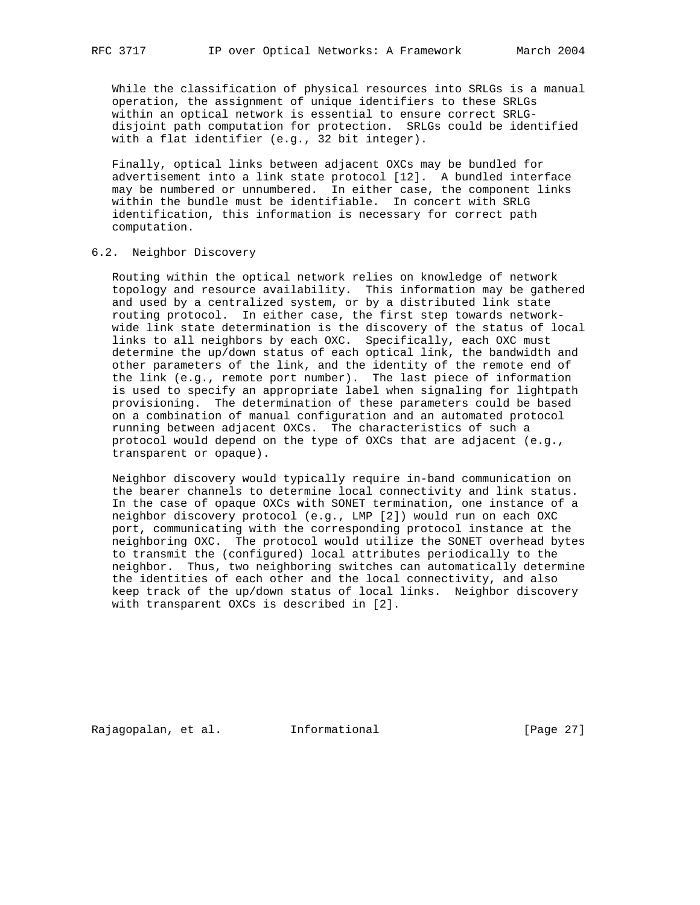While the classification of physical resources into SRLGs is a manual operation, the assignment of unique identifiers to these SRLGs within an optical network is essential to ensure correct SRLG disjoint path computation for protection. SRLGs could be identified with a flat identifier (e.g., 32 bit integer).

 Finally, optical links between adjacent OXCs may be bundled for advertisement into a link state protocol [12]. A bundled interface may be numbered or unnumbered. In either case, the component links within the bundle must be identifiable. In concert with SRLG identification, this information is necessary for correct path computation.

## 6.2. Neighbor Discovery

 Routing within the optical network relies on knowledge of network topology and resource availability. This information may be gathered and used by a centralized system, or by a distributed link state routing protocol. In either case, the first step towards network wide link state determination is the discovery of the status of local links to all neighbors by each OXC. Specifically, each OXC must determine the up/down status of each optical link, the bandwidth and other parameters of the link, and the identity of the remote end of the link (e.g., remote port number). The last piece of information is used to specify an appropriate label when signaling for lightpath provisioning. The determination of these parameters could be based on a combination of manual configuration and an automated protocol running between adjacent OXCs. The characteristics of such a protocol would depend on the type of OXCs that are adjacent (e.g., transparent or opaque).

 Neighbor discovery would typically require in-band communication on the bearer channels to determine local connectivity and link status. In the case of opaque OXCs with SONET termination, one instance of a neighbor discovery protocol (e.g., LMP [2]) would run on each OXC port, communicating with the corresponding protocol instance at the neighboring OXC. The protocol would utilize the SONET overhead bytes to transmit the (configured) local attributes periodically to the neighbor. Thus, two neighboring switches can automatically determine the identities of each other and the local connectivity, and also keep track of the up/down status of local links. Neighbor discovery with transparent OXCs is described in [2].

Rajagopalan, et al. Informational [Page 27]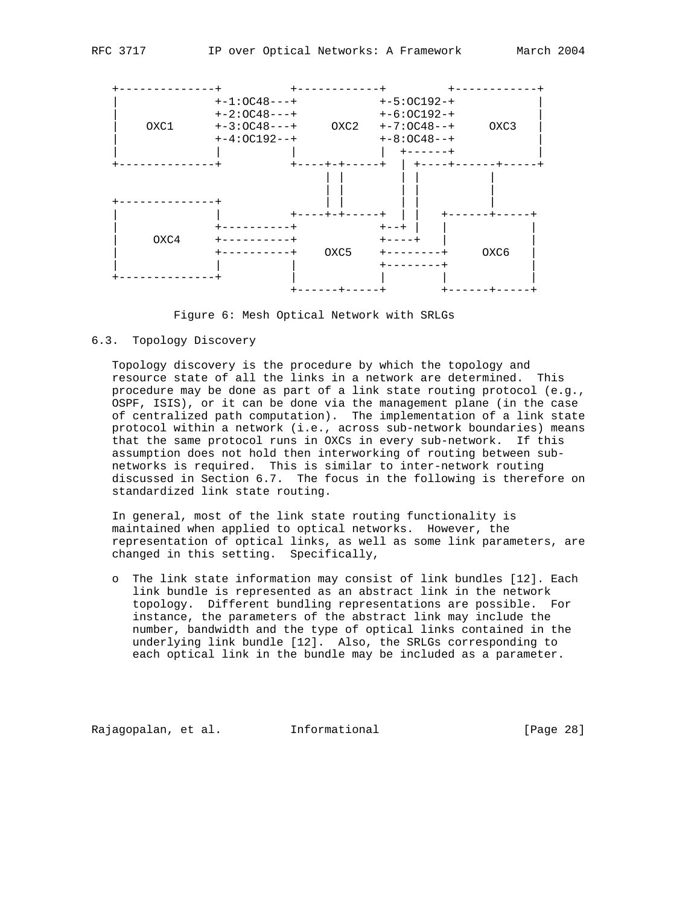



## 6.3. Topology Discovery

 Topology discovery is the procedure by which the topology and resource state of all the links in a network are determined. This procedure may be done as part of a link state routing protocol (e.g., OSPF, ISIS), or it can be done via the management plane (in the case of centralized path computation). The implementation of a link state protocol within a network (i.e., across sub-network boundaries) means that the same protocol runs in OXCs in every sub-network. If this assumption does not hold then interworking of routing between sub networks is required. This is similar to inter-network routing discussed in Section 6.7. The focus in the following is therefore on standardized link state routing.

 In general, most of the link state routing functionality is maintained when applied to optical networks. However, the representation of optical links, as well as some link parameters, are changed in this setting. Specifically,

 o The link state information may consist of link bundles [12]. Each link bundle is represented as an abstract link in the network topology. Different bundling representations are possible. For instance, the parameters of the abstract link may include the number, bandwidth and the type of optical links contained in the underlying link bundle [12]. Also, the SRLGs corresponding to each optical link in the bundle may be included as a parameter.

Rajagopalan, et al. Informational [Page 28]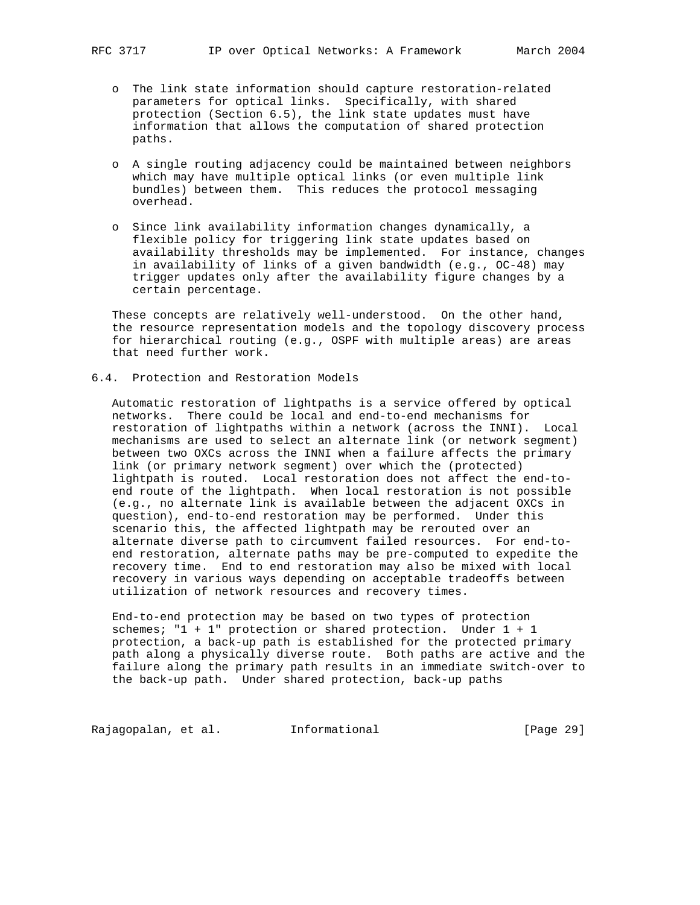- o The link state information should capture restoration-related parameters for optical links. Specifically, with shared protection (Section 6.5), the link state updates must have information that allows the computation of shared protection paths.
- o A single routing adjacency could be maintained between neighbors which may have multiple optical links (or even multiple link bundles) between them. This reduces the protocol messaging overhead.
- o Since link availability information changes dynamically, a flexible policy for triggering link state updates based on availability thresholds may be implemented. For instance, changes in availability of links of a given bandwidth (e.g., OC-48) may trigger updates only after the availability figure changes by a certain percentage.

 These concepts are relatively well-understood. On the other hand, the resource representation models and the topology discovery process for hierarchical routing (e.g., OSPF with multiple areas) are areas that need further work.

6.4. Protection and Restoration Models

 Automatic restoration of lightpaths is a service offered by optical networks. There could be local and end-to-end mechanisms for restoration of lightpaths within a network (across the INNI). Local mechanisms are used to select an alternate link (or network segment) between two OXCs across the INNI when a failure affects the primary link (or primary network segment) over which the (protected) lightpath is routed. Local restoration does not affect the end-to end route of the lightpath. When local restoration is not possible (e.g., no alternate link is available between the adjacent OXCs in question), end-to-end restoration may be performed. Under this scenario this, the affected lightpath may be rerouted over an alternate diverse path to circumvent failed resources. For end-to end restoration, alternate paths may be pre-computed to expedite the recovery time. End to end restoration may also be mixed with local recovery in various ways depending on acceptable tradeoffs between utilization of network resources and recovery times.

 End-to-end protection may be based on two types of protection schemes; "1 + 1" protection or shared protection. Under 1 + 1 protection, a back-up path is established for the protected primary path along a physically diverse route. Both paths are active and the failure along the primary path results in an immediate switch-over to the back-up path. Under shared protection, back-up paths

Rajagopalan, et al. 1nformational 1999 [Page 29]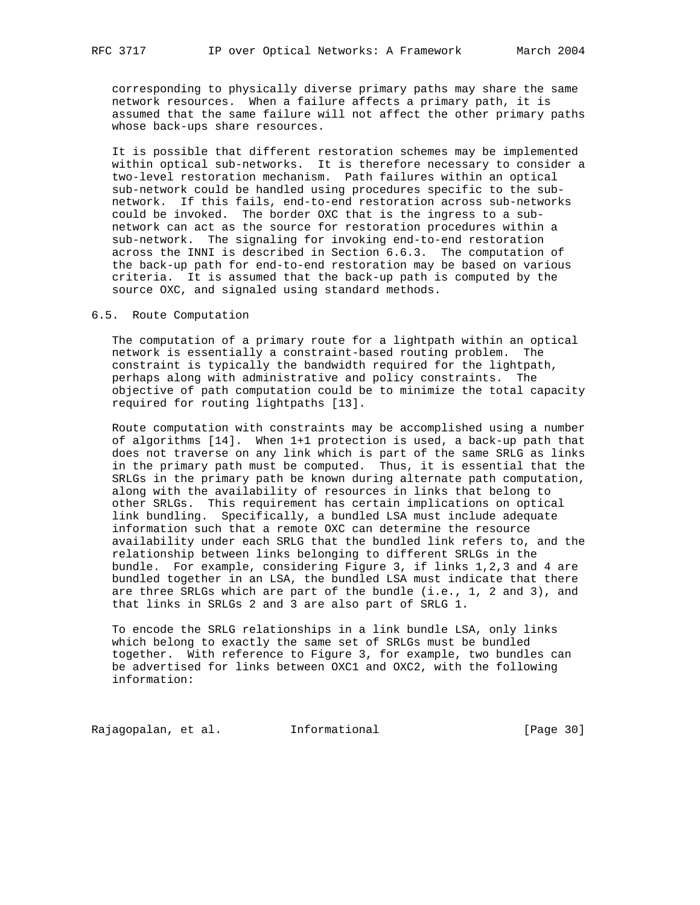corresponding to physically diverse primary paths may share the same network resources. When a failure affects a primary path, it is assumed that the same failure will not affect the other primary paths whose back-ups share resources.

 It is possible that different restoration schemes may be implemented within optical sub-networks. It is therefore necessary to consider a two-level restoration mechanism. Path failures within an optical sub-network could be handled using procedures specific to the sub network. If this fails, end-to-end restoration across sub-networks could be invoked. The border OXC that is the ingress to a sub network can act as the source for restoration procedures within a sub-network. The signaling for invoking end-to-end restoration across the INNI is described in Section 6.6.3. The computation of the back-up path for end-to-end restoration may be based on various criteria. It is assumed that the back-up path is computed by the source OXC, and signaled using standard methods.

## 6.5. Route Computation

 The computation of a primary route for a lightpath within an optical network is essentially a constraint-based routing problem. The constraint is typically the bandwidth required for the lightpath, perhaps along with administrative and policy constraints. The objective of path computation could be to minimize the total capacity required for routing lightpaths [13].

 Route computation with constraints may be accomplished using a number of algorithms [14]. When 1+1 protection is used, a back-up path that does not traverse on any link which is part of the same SRLG as links in the primary path must be computed. Thus, it is essential that the SRLGs in the primary path be known during alternate path computation, along with the availability of resources in links that belong to other SRLGs. This requirement has certain implications on optical link bundling. Specifically, a bundled LSA must include adequate information such that a remote OXC can determine the resource availability under each SRLG that the bundled link refers to, and the relationship between links belonging to different SRLGs in the bundle. For example, considering Figure 3, if links 1,2,3 and 4 are bundled together in an LSA, the bundled LSA must indicate that there are three SRLGs which are part of the bundle (i.e., 1, 2 and 3), and that links in SRLGs 2 and 3 are also part of SRLG 1.

 To encode the SRLG relationships in a link bundle LSA, only links which belong to exactly the same set of SRLGs must be bundled together. With reference to Figure 3, for example, two bundles can be advertised for links between OXC1 and OXC2, with the following information:

Rajagopalan, et al. 1nformational 1999 [Page 30]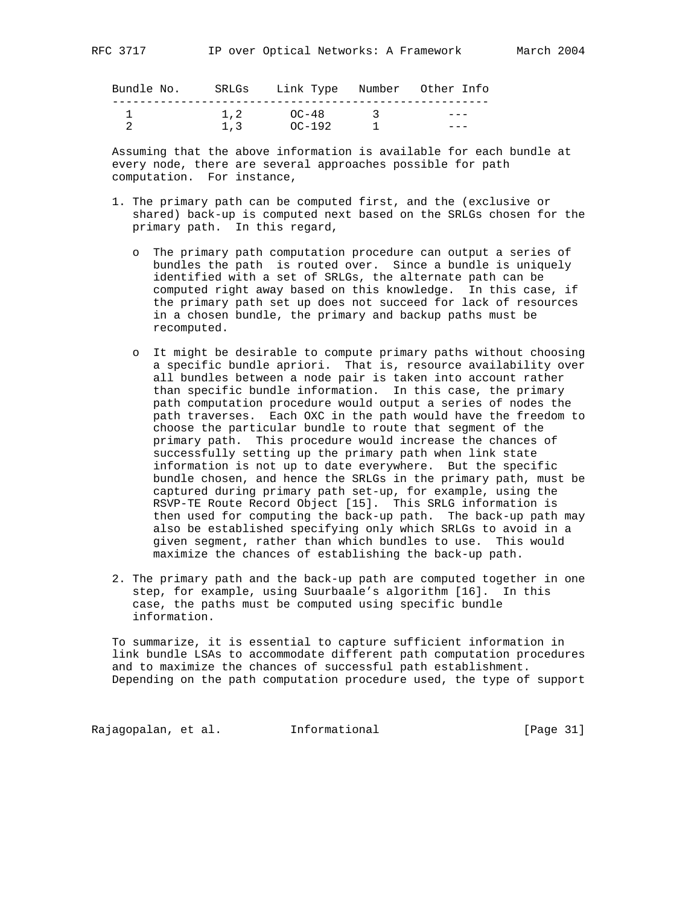| Bundle No. |      | SRLGs - Link Type - Number - Other Info |               |  |
|------------|------|-----------------------------------------|---------------|--|
|            |      |                                         |               |  |
|            | 1, 2 | $\bigcap$ $\bigcap$ $-48$               | $\mathcal{R}$ |  |
|            | 1.3  | OC-192                                  |               |  |

 Assuming that the above information is available for each bundle at every node, there are several approaches possible for path computation. For instance,

- 1. The primary path can be computed first, and the (exclusive or shared) back-up is computed next based on the SRLGs chosen for the primary path. In this regard,
	- o The primary path computation procedure can output a series of bundles the path is routed over. Since a bundle is uniquely identified with a set of SRLGs, the alternate path can be computed right away based on this knowledge. In this case, if the primary path set up does not succeed for lack of resources in a chosen bundle, the primary and backup paths must be recomputed.
	- o It might be desirable to compute primary paths without choosing a specific bundle apriori. That is, resource availability over all bundles between a node pair is taken into account rather than specific bundle information. In this case, the primary path computation procedure would output a series of nodes the path traverses. Each OXC in the path would have the freedom to choose the particular bundle to route that segment of the primary path. This procedure would increase the chances of successfully setting up the primary path when link state information is not up to date everywhere. But the specific bundle chosen, and hence the SRLGs in the primary path, must be captured during primary path set-up, for example, using the RSVP-TE Route Record Object [15]. This SRLG information is then used for computing the back-up path. The back-up path may also be established specifying only which SRLGs to avoid in a given segment, rather than which bundles to use. This would maximize the chances of establishing the back-up path.
- 2. The primary path and the back-up path are computed together in one step, for example, using Suurbaale's algorithm [16]. In this case, the paths must be computed using specific bundle information.

 To summarize, it is essential to capture sufficient information in link bundle LSAs to accommodate different path computation procedures and to maximize the chances of successful path establishment. Depending on the path computation procedure used, the type of support

Rajagopalan, et al. 1nformational 1999 [Page 31]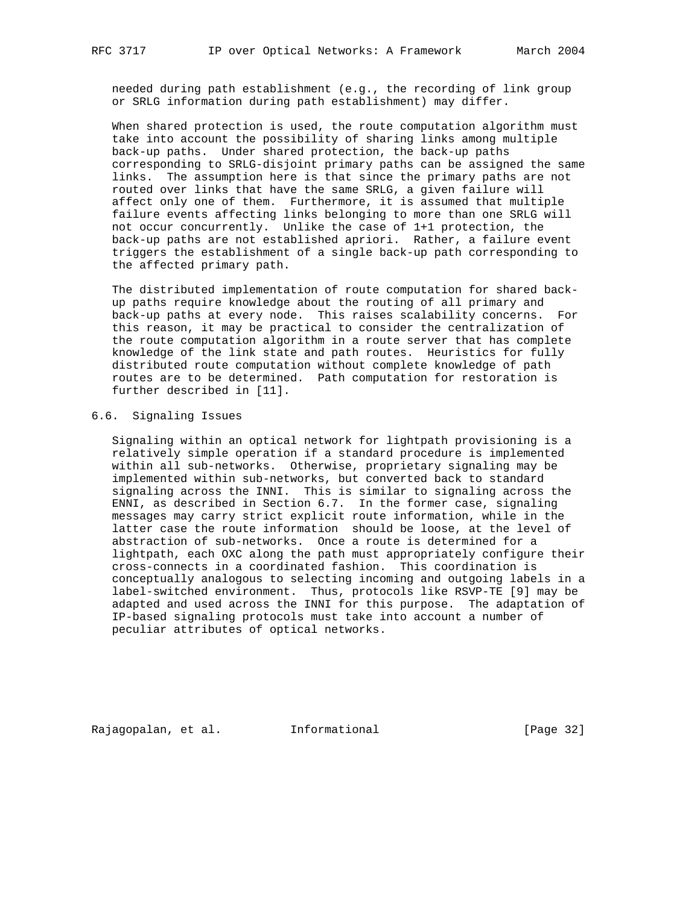needed during path establishment (e.g., the recording of link group or SRLG information during path establishment) may differ.

 When shared protection is used, the route computation algorithm must take into account the possibility of sharing links among multiple back-up paths. Under shared protection, the back-up paths corresponding to SRLG-disjoint primary paths can be assigned the same links. The assumption here is that since the primary paths are not routed over links that have the same SRLG, a given failure will affect only one of them. Furthermore, it is assumed that multiple failure events affecting links belonging to more than one SRLG will not occur concurrently. Unlike the case of 1+1 protection, the back-up paths are not established apriori. Rather, a failure event triggers the establishment of a single back-up path corresponding to the affected primary path.

 The distributed implementation of route computation for shared back up paths require knowledge about the routing of all primary and back-up paths at every node. This raises scalability concerns. For this reason, it may be practical to consider the centralization of the route computation algorithm in a route server that has complete knowledge of the link state and path routes. Heuristics for fully distributed route computation without complete knowledge of path routes are to be determined. Path computation for restoration is further described in [11].

## 6.6. Signaling Issues

 Signaling within an optical network for lightpath provisioning is a relatively simple operation if a standard procedure is implemented within all sub-networks. Otherwise, proprietary signaling may be implemented within sub-networks, but converted back to standard signaling across the INNI. This is similar to signaling across the ENNI, as described in Section 6.7. In the former case, signaling messages may carry strict explicit route information, while in the latter case the route information should be loose, at the level of abstraction of sub-networks. Once a route is determined for a lightpath, each OXC along the path must appropriately configure their cross-connects in a coordinated fashion. This coordination is conceptually analogous to selecting incoming and outgoing labels in a label-switched environment. Thus, protocols like RSVP-TE [9] may be adapted and used across the INNI for this purpose. The adaptation of IP-based signaling protocols must take into account a number of peculiar attributes of optical networks.

Rajagopalan, et al. Informational [Page 32]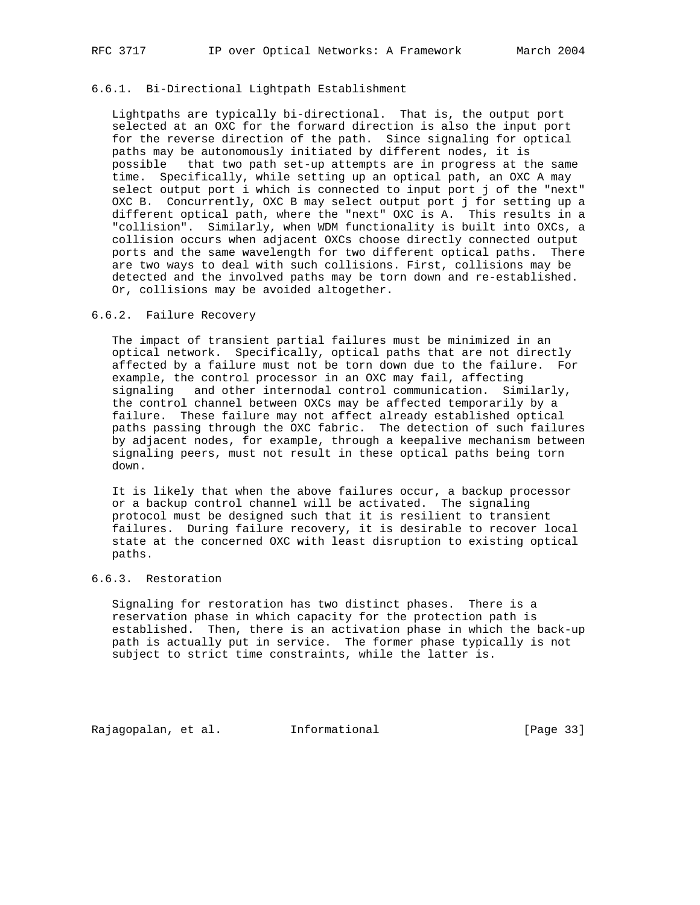## 6.6.1. Bi-Directional Lightpath Establishment

 Lightpaths are typically bi-directional. That is, the output port selected at an OXC for the forward direction is also the input port for the reverse direction of the path. Since signaling for optical paths may be autonomously initiated by different nodes, it is possible that two path set-up attempts are in progress at the same time. Specifically, while setting up an optical path, an OXC A may select output port i which is connected to input port j of the "next" OXC B. Concurrently, OXC B may select output port j for setting up a different optical path, where the "next" OXC is A. This results in a "collision". Similarly, when WDM functionality is built into OXCs, a collision occurs when adjacent OXCs choose directly connected output ports and the same wavelength for two different optical paths. There are two ways to deal with such collisions. First, collisions may be detected and the involved paths may be torn down and re-established. Or, collisions may be avoided altogether.

## 6.6.2. Failure Recovery

 The impact of transient partial failures must be minimized in an optical network. Specifically, optical paths that are not directly affected by a failure must not be torn down due to the failure. For example, the control processor in an OXC may fail, affecting signaling and other internodal control communication. Similarly, the control channel between OXCs may be affected temporarily by a failure. These failure may not affect already established optical paths passing through the OXC fabric. The detection of such failures by adjacent nodes, for example, through a keepalive mechanism between signaling peers, must not result in these optical paths being torn down.

 It is likely that when the above failures occur, a backup processor or a backup control channel will be activated. The signaling protocol must be designed such that it is resilient to transient failures. During failure recovery, it is desirable to recover local state at the concerned OXC with least disruption to existing optical paths.

## 6.6.3. Restoration

 Signaling for restoration has two distinct phases. There is a reservation phase in which capacity for the protection path is established. Then, there is an activation phase in which the back-up path is actually put in service. The former phase typically is not subject to strict time constraints, while the latter is.

Rajagopalan, et al. Informational [Page 33]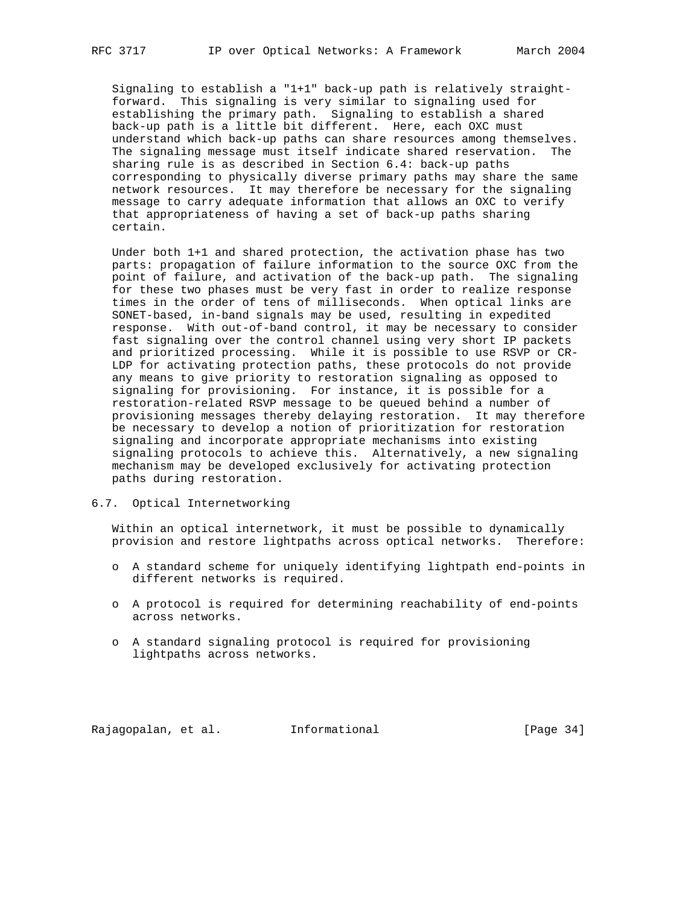Signaling to establish a "1+1" back-up path is relatively straight forward. This signaling is very similar to signaling used for establishing the primary path. Signaling to establish a shared back-up path is a little bit different. Here, each OXC must understand which back-up paths can share resources among themselves. The signaling message must itself indicate shared reservation. The sharing rule is as described in Section 6.4: back-up paths corresponding to physically diverse primary paths may share the same network resources. It may therefore be necessary for the signaling message to carry adequate information that allows an OXC to verify that appropriateness of having a set of back-up paths sharing certain.

 Under both 1+1 and shared protection, the activation phase has two parts: propagation of failure information to the source OXC from the point of failure, and activation of the back-up path. The signaling for these two phases must be very fast in order to realize response times in the order of tens of milliseconds. When optical links are SONET-based, in-band signals may be used, resulting in expedited response. With out-of-band control, it may be necessary to consider fast signaling over the control channel using very short IP packets and prioritized processing. While it is possible to use RSVP or CR- LDP for activating protection paths, these protocols do not provide any means to give priority to restoration signaling as opposed to signaling for provisioning. For instance, it is possible for a restoration-related RSVP message to be queued behind a number of provisioning messages thereby delaying restoration. It may therefore be necessary to develop a notion of prioritization for restoration signaling and incorporate appropriate mechanisms into existing signaling protocols to achieve this. Alternatively, a new signaling mechanism may be developed exclusively for activating protection paths during restoration.

6.7. Optical Internetworking

 Within an optical internetwork, it must be possible to dynamically provision and restore lightpaths across optical networks. Therefore:

- o A standard scheme for uniquely identifying lightpath end-points in different networks is required.
- o A protocol is required for determining reachability of end-points across networks.
- o A standard signaling protocol is required for provisioning lightpaths across networks.

Rajagopalan, et al. Informational [Page 34]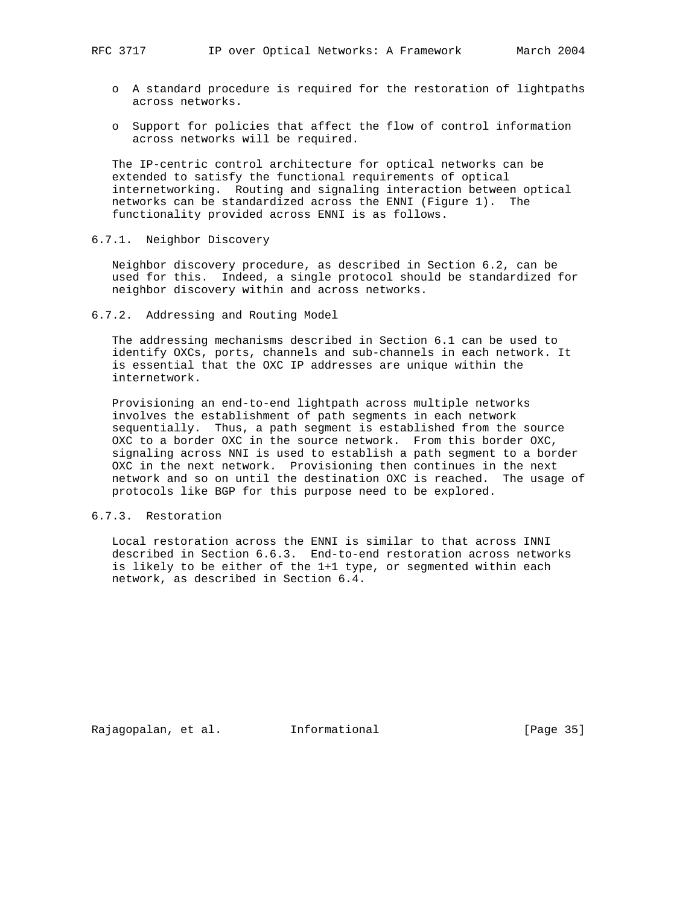- o A standard procedure is required for the restoration of lightpaths across networks.
- o Support for policies that affect the flow of control information across networks will be required.

 The IP-centric control architecture for optical networks can be extended to satisfy the functional requirements of optical internetworking. Routing and signaling interaction between optical networks can be standardized across the ENNI (Figure 1). The functionality provided across ENNI is as follows.

## 6.7.1. Neighbor Discovery

 Neighbor discovery procedure, as described in Section 6.2, can be used for this. Indeed, a single protocol should be standardized for neighbor discovery within and across networks.

6.7.2. Addressing and Routing Model

 The addressing mechanisms described in Section 6.1 can be used to identify OXCs, ports, channels and sub-channels in each network. It is essential that the OXC IP addresses are unique within the internetwork.

 Provisioning an end-to-end lightpath across multiple networks involves the establishment of path segments in each network sequentially. Thus, a path segment is established from the source OXC to a border OXC in the source network. From this border OXC, signaling across NNI is used to establish a path segment to a border OXC in the next network. Provisioning then continues in the next network and so on until the destination OXC is reached. The usage of protocols like BGP for this purpose need to be explored.

## 6.7.3. Restoration

 Local restoration across the ENNI is similar to that across INNI described in Section 6.6.3. End-to-end restoration across networks is likely to be either of the 1+1 type, or segmented within each network, as described in Section 6.4.

Rajagopalan, et al. Informational [Page 35]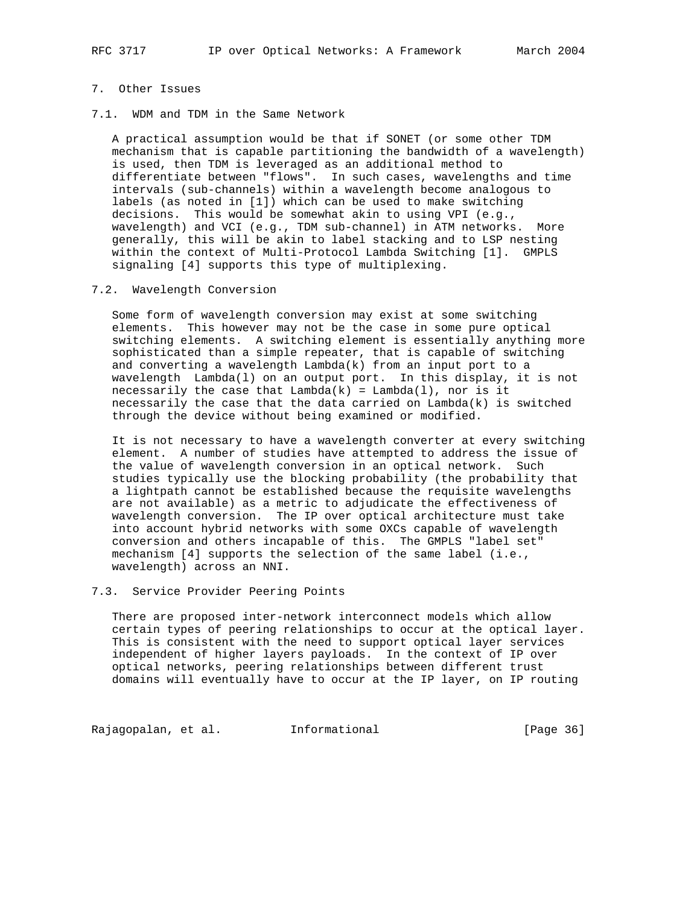# 7. Other Issues

7.1. WDM and TDM in the Same Network

 A practical assumption would be that if SONET (or some other TDM mechanism that is capable partitioning the bandwidth of a wavelength) is used, then TDM is leveraged as an additional method to differentiate between "flows". In such cases, wavelengths and time intervals (sub-channels) within a wavelength become analogous to labels (as noted in [1]) which can be used to make switching decisions. This would be somewhat akin to using VPI (e.g., wavelength) and VCI (e.g., TDM sub-channel) in ATM networks. More generally, this will be akin to label stacking and to LSP nesting within the context of Multi-Protocol Lambda Switching [1]. GMPLS signaling [4] supports this type of multiplexing.

7.2. Wavelength Conversion

 Some form of wavelength conversion may exist at some switching elements. This however may not be the case in some pure optical switching elements. A switching element is essentially anything more sophisticated than a simple repeater, that is capable of switching and converting a wavelength Lambda(k) from an input port to a wavelength Lambda(l) on an output port. In this display, it is not necessarily the case that  $Lambda(k) = Lambda(1)$ , nor is it necessarily the case that the data carried on Lambda(k) is switched through the device without being examined or modified.

 It is not necessary to have a wavelength converter at every switching element. A number of studies have attempted to address the issue of the value of wavelength conversion in an optical network. Such studies typically use the blocking probability (the probability that a lightpath cannot be established because the requisite wavelengths are not available) as a metric to adjudicate the effectiveness of wavelength conversion. The IP over optical architecture must take into account hybrid networks with some OXCs capable of wavelength conversion and others incapable of this. The GMPLS "label set" mechanism [4] supports the selection of the same label (i.e., wavelength) across an NNI.

#### 7.3. Service Provider Peering Points

 There are proposed inter-network interconnect models which allow certain types of peering relationships to occur at the optical layer. This is consistent with the need to support optical layer services independent of higher layers payloads. In the context of IP over optical networks, peering relationships between different trust domains will eventually have to occur at the IP layer, on IP routing

Rajagopalan, et al. 1nformational 1999 [Page 36]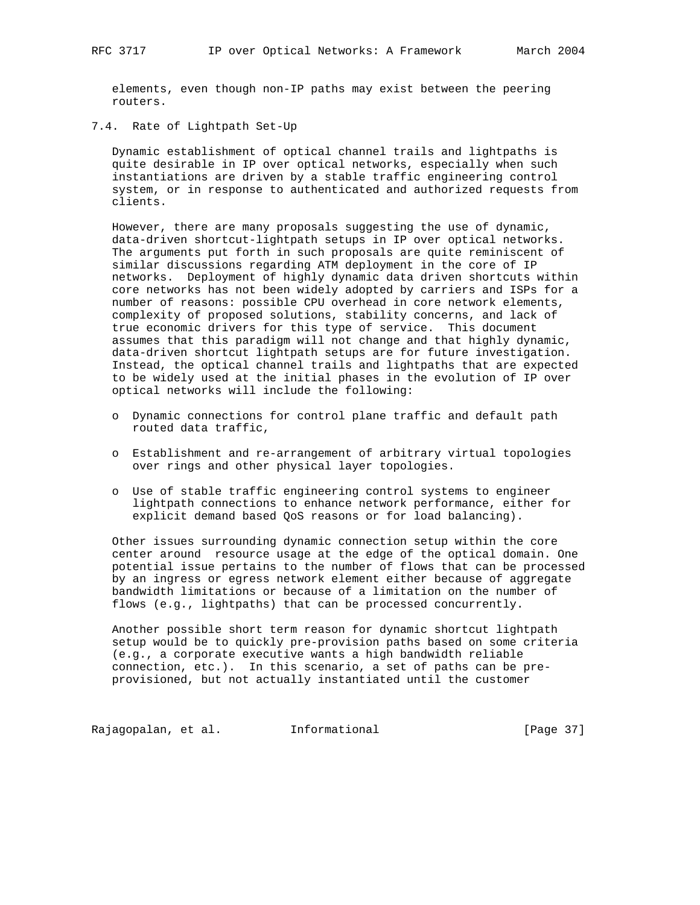elements, even though non-IP paths may exist between the peering routers.

7.4. Rate of Lightpath Set-Up

 Dynamic establishment of optical channel trails and lightpaths is quite desirable in IP over optical networks, especially when such instantiations are driven by a stable traffic engineering control system, or in response to authenticated and authorized requests from clients.

 However, there are many proposals suggesting the use of dynamic, data-driven shortcut-lightpath setups in IP over optical networks. The arguments put forth in such proposals are quite reminiscent of similar discussions regarding ATM deployment in the core of IP networks. Deployment of highly dynamic data driven shortcuts within core networks has not been widely adopted by carriers and ISPs for a number of reasons: possible CPU overhead in core network elements, complexity of proposed solutions, stability concerns, and lack of true economic drivers for this type of service. This document assumes that this paradigm will not change and that highly dynamic, data-driven shortcut lightpath setups are for future investigation. Instead, the optical channel trails and lightpaths that are expected to be widely used at the initial phases in the evolution of IP over optical networks will include the following:

- o Dynamic connections for control plane traffic and default path routed data traffic,
- o Establishment and re-arrangement of arbitrary virtual topologies over rings and other physical layer topologies.
- o Use of stable traffic engineering control systems to engineer lightpath connections to enhance network performance, either for explicit demand based QoS reasons or for load balancing).

 Other issues surrounding dynamic connection setup within the core center around resource usage at the edge of the optical domain. One potential issue pertains to the number of flows that can be processed by an ingress or egress network element either because of aggregate bandwidth limitations or because of a limitation on the number of flows (e.g., lightpaths) that can be processed concurrently.

 Another possible short term reason for dynamic shortcut lightpath setup would be to quickly pre-provision paths based on some criteria (e.g., a corporate executive wants a high bandwidth reliable connection, etc.). In this scenario, a set of paths can be pre provisioned, but not actually instantiated until the customer

Rajagopalan, et al. 1nformational 1999 [Page 37]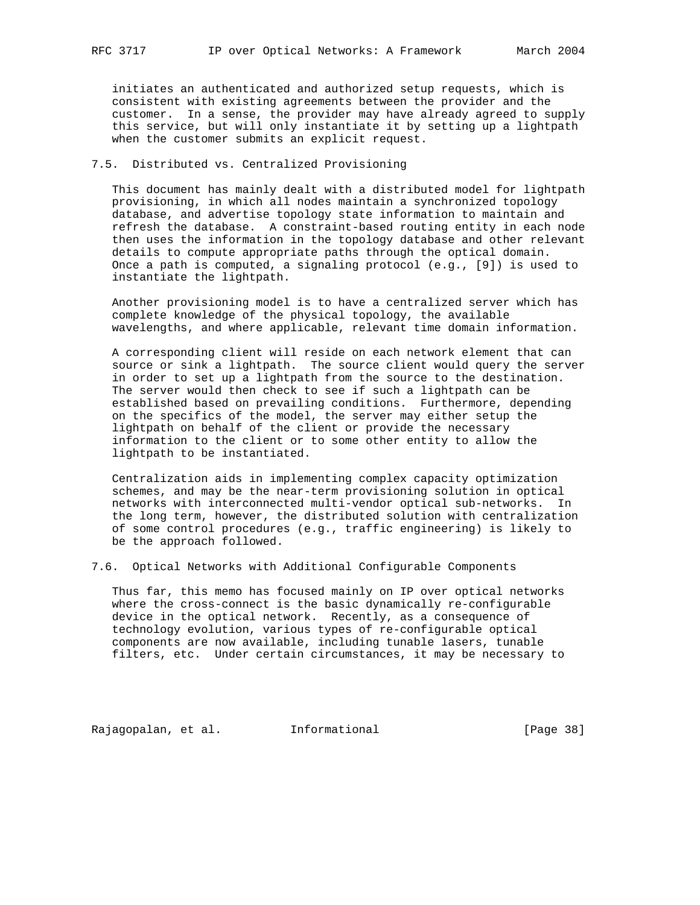initiates an authenticated and authorized setup requests, which is consistent with existing agreements between the provider and the customer. In a sense, the provider may have already agreed to supply this service, but will only instantiate it by setting up a lightpath when the customer submits an explicit request.

## 7.5. Distributed vs. Centralized Provisioning

 This document has mainly dealt with a distributed model for lightpath provisioning, in which all nodes maintain a synchronized topology database, and advertise topology state information to maintain and refresh the database. A constraint-based routing entity in each node then uses the information in the topology database and other relevant details to compute appropriate paths through the optical domain. Once a path is computed, a signaling protocol (e.g., [9]) is used to instantiate the lightpath.

 Another provisioning model is to have a centralized server which has complete knowledge of the physical topology, the available wavelengths, and where applicable, relevant time domain information.

 A corresponding client will reside on each network element that can source or sink a lightpath. The source client would query the server in order to set up a lightpath from the source to the destination. The server would then check to see if such a lightpath can be established based on prevailing conditions. Furthermore, depending on the specifics of the model, the server may either setup the lightpath on behalf of the client or provide the necessary information to the client or to some other entity to allow the lightpath to be instantiated.

 Centralization aids in implementing complex capacity optimization schemes, and may be the near-term provisioning solution in optical networks with interconnected multi-vendor optical sub-networks. In the long term, however, the distributed solution with centralization of some control procedures (e.g., traffic engineering) is likely to be the approach followed.

7.6. Optical Networks with Additional Configurable Components

 Thus far, this memo has focused mainly on IP over optical networks where the cross-connect is the basic dynamically re-configurable device in the optical network. Recently, as a consequence of technology evolution, various types of re-configurable optical components are now available, including tunable lasers, tunable filters, etc. Under certain circumstances, it may be necessary to

Rajagopalan, et al. 1nformational 1999 [Page 38]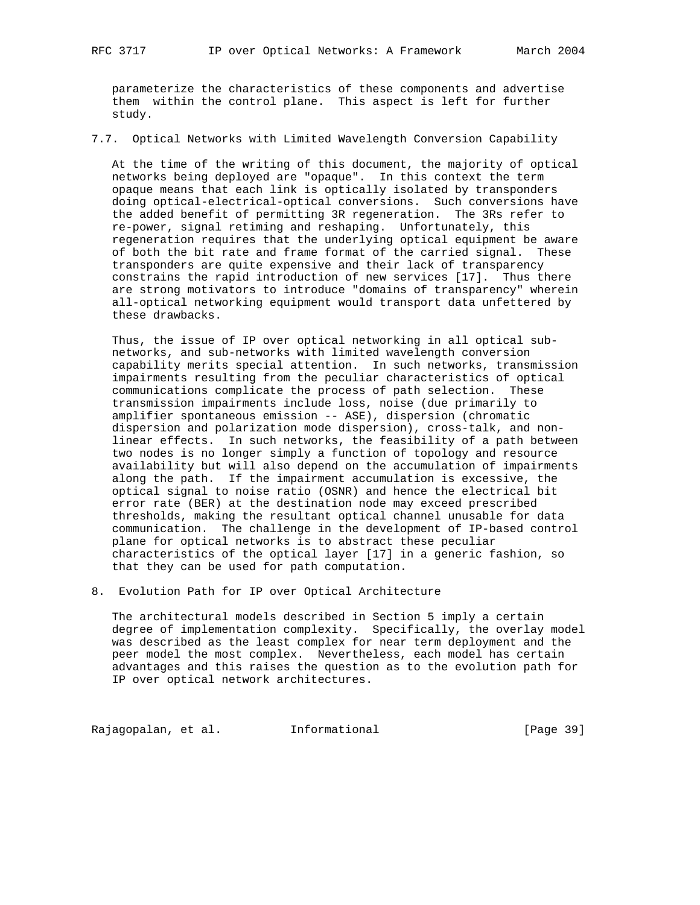parameterize the characteristics of these components and advertise them within the control plane. This aspect is left for further study.

7.7. Optical Networks with Limited Wavelength Conversion Capability

 At the time of the writing of this document, the majority of optical networks being deployed are "opaque". In this context the term opaque means that each link is optically isolated by transponders doing optical-electrical-optical conversions. Such conversions have the added benefit of permitting 3R regeneration. The 3Rs refer to re-power, signal retiming and reshaping. Unfortunately, this regeneration requires that the underlying optical equipment be aware of both the bit rate and frame format of the carried signal. These transponders are quite expensive and their lack of transparency constrains the rapid introduction of new services [17]. Thus there are strong motivators to introduce "domains of transparency" wherein all-optical networking equipment would transport data unfettered by these drawbacks.

 Thus, the issue of IP over optical networking in all optical sub networks, and sub-networks with limited wavelength conversion capability merits special attention. In such networks, transmission impairments resulting from the peculiar characteristics of optical communications complicate the process of path selection. These transmission impairments include loss, noise (due primarily to amplifier spontaneous emission -- ASE), dispersion (chromatic dispersion and polarization mode dispersion), cross-talk, and non linear effects. In such networks, the feasibility of a path between two nodes is no longer simply a function of topology and resource availability but will also depend on the accumulation of impairments along the path. If the impairment accumulation is excessive, the optical signal to noise ratio (OSNR) and hence the electrical bit error rate (BER) at the destination node may exceed prescribed thresholds, making the resultant optical channel unusable for data communication. The challenge in the development of IP-based control plane for optical networks is to abstract these peculiar characteristics of the optical layer [17] in a generic fashion, so that they can be used for path computation.

8. Evolution Path for IP over Optical Architecture

 The architectural models described in Section 5 imply a certain degree of implementation complexity. Specifically, the overlay model was described as the least complex for near term deployment and the peer model the most complex. Nevertheless, each model has certain advantages and this raises the question as to the evolution path for IP over optical network architectures.

Rajagopalan, et al. 1nformational 1999 [Page 39]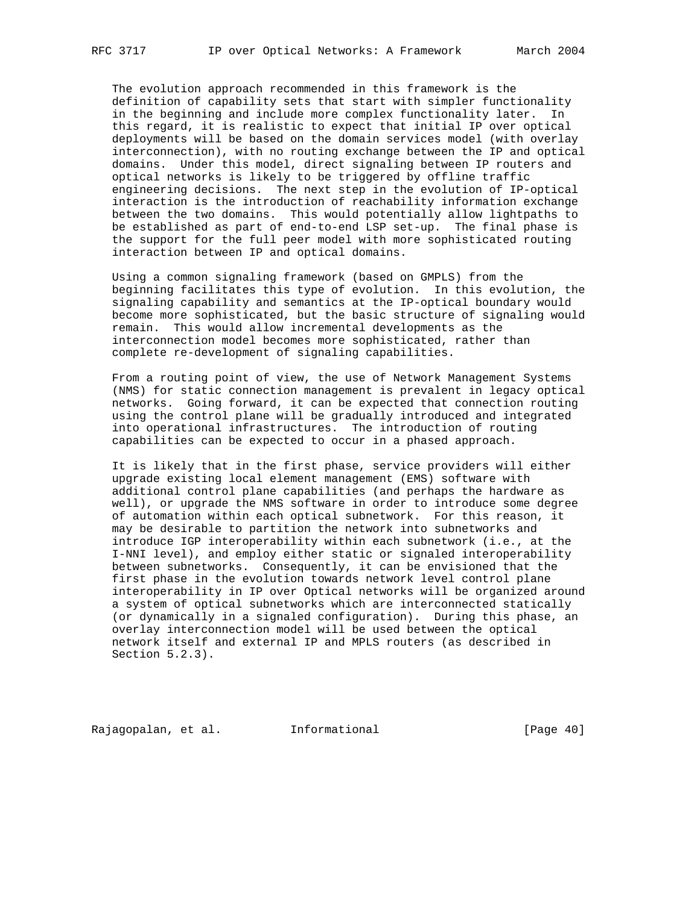The evolution approach recommended in this framework is the definition of capability sets that start with simpler functionality in the beginning and include more complex functionality later. In this regard, it is realistic to expect that initial IP over optical deployments will be based on the domain services model (with overlay interconnection), with no routing exchange between the IP and optical domains. Under this model, direct signaling between IP routers and optical networks is likely to be triggered by offline traffic engineering decisions. The next step in the evolution of IP-optical interaction is the introduction of reachability information exchange between the two domains. This would potentially allow lightpaths to be established as part of end-to-end LSP set-up. The final phase is the support for the full peer model with more sophisticated routing interaction between IP and optical domains.

 Using a common signaling framework (based on GMPLS) from the beginning facilitates this type of evolution. In this evolution, the signaling capability and semantics at the IP-optical boundary would become more sophisticated, but the basic structure of signaling would remain. This would allow incremental developments as the interconnection model becomes more sophisticated, rather than complete re-development of signaling capabilities.

 From a routing point of view, the use of Network Management Systems (NMS) for static connection management is prevalent in legacy optical networks. Going forward, it can be expected that connection routing using the control plane will be gradually introduced and integrated into operational infrastructures. The introduction of routing capabilities can be expected to occur in a phased approach.

 It is likely that in the first phase, service providers will either upgrade existing local element management (EMS) software with additional control plane capabilities (and perhaps the hardware as well), or upgrade the NMS software in order to introduce some degree of automation within each optical subnetwork. For this reason, it may be desirable to partition the network into subnetworks and introduce IGP interoperability within each subnetwork (i.e., at the I-NNI level), and employ either static or signaled interoperability between subnetworks. Consequently, it can be envisioned that the first phase in the evolution towards network level control plane interoperability in IP over Optical networks will be organized around a system of optical subnetworks which are interconnected statically (or dynamically in a signaled configuration). During this phase, an overlay interconnection model will be used between the optical network itself and external IP and MPLS routers (as described in Section 5.2.3).

Rajagopalan, et al. Informational [Page 40]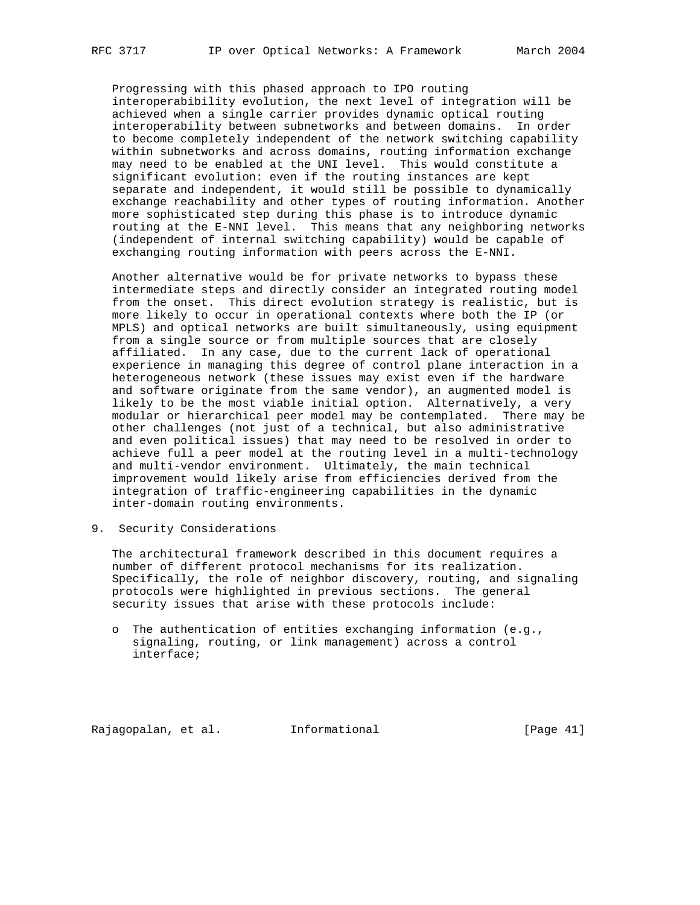Progressing with this phased approach to IPO routing interoperabibility evolution, the next level of integration will be achieved when a single carrier provides dynamic optical routing interoperability between subnetworks and between domains. In order to become completely independent of the network switching capability within subnetworks and across domains, routing information exchange may need to be enabled at the UNI level. This would constitute a significant evolution: even if the routing instances are kept separate and independent, it would still be possible to dynamically exchange reachability and other types of routing information. Another more sophisticated step during this phase is to introduce dynamic routing at the E-NNI level. This means that any neighboring networks (independent of internal switching capability) would be capable of exchanging routing information with peers across the E-NNI.

 Another alternative would be for private networks to bypass these intermediate steps and directly consider an integrated routing model from the onset. This direct evolution strategy is realistic, but is more likely to occur in operational contexts where both the IP (or MPLS) and optical networks are built simultaneously, using equipment from a single source or from multiple sources that are closely affiliated. In any case, due to the current lack of operational experience in managing this degree of control plane interaction in a heterogeneous network (these issues may exist even if the hardware and software originate from the same vendor), an augmented model is likely to be the most viable initial option. Alternatively, a very modular or hierarchical peer model may be contemplated. There may be other challenges (not just of a technical, but also administrative and even political issues) that may need to be resolved in order to achieve full a peer model at the routing level in a multi-technology and multi-vendor environment. Ultimately, the main technical improvement would likely arise from efficiencies derived from the integration of traffic-engineering capabilities in the dynamic inter-domain routing environments.

9. Security Considerations

 The architectural framework described in this document requires a number of different protocol mechanisms for its realization. Specifically, the role of neighbor discovery, routing, and signaling protocols were highlighted in previous sections. The general security issues that arise with these protocols include:

 o The authentication of entities exchanging information (e.g., signaling, routing, or link management) across a control interface;

Rajagopalan, et al. Informational [Page 41]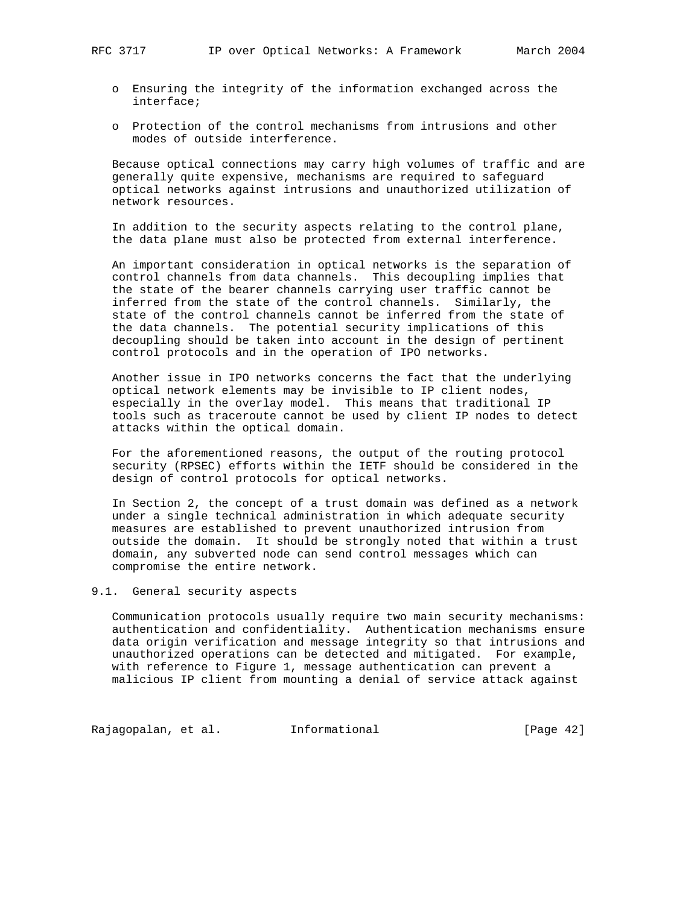- o Ensuring the integrity of the information exchanged across the interface;
- o Protection of the control mechanisms from intrusions and other modes of outside interference.

 Because optical connections may carry high volumes of traffic and are generally quite expensive, mechanisms are required to safeguard optical networks against intrusions and unauthorized utilization of network resources.

 In addition to the security aspects relating to the control plane, the data plane must also be protected from external interference.

 An important consideration in optical networks is the separation of control channels from data channels. This decoupling implies that the state of the bearer channels carrying user traffic cannot be inferred from the state of the control channels. Similarly, the state of the control channels cannot be inferred from the state of the data channels. The potential security implications of this decoupling should be taken into account in the design of pertinent control protocols and in the operation of IPO networks.

 Another issue in IPO networks concerns the fact that the underlying optical network elements may be invisible to IP client nodes, especially in the overlay model. This means that traditional IP tools such as traceroute cannot be used by client IP nodes to detect attacks within the optical domain.

 For the aforementioned reasons, the output of the routing protocol security (RPSEC) efforts within the IETF should be considered in the design of control protocols for optical networks.

 In Section 2, the concept of a trust domain was defined as a network under a single technical administration in which adequate security measures are established to prevent unauthorized intrusion from outside the domain. It should be strongly noted that within a trust domain, any subverted node can send control messages which can compromise the entire network.

9.1. General security aspects

 Communication protocols usually require two main security mechanisms: authentication and confidentiality. Authentication mechanisms ensure data origin verification and message integrity so that intrusions and unauthorized operations can be detected and mitigated. For example, with reference to Figure 1, message authentication can prevent a malicious IP client from mounting a denial of service attack against

Rajagopalan, et al. 1nformational 1999 [Page 42]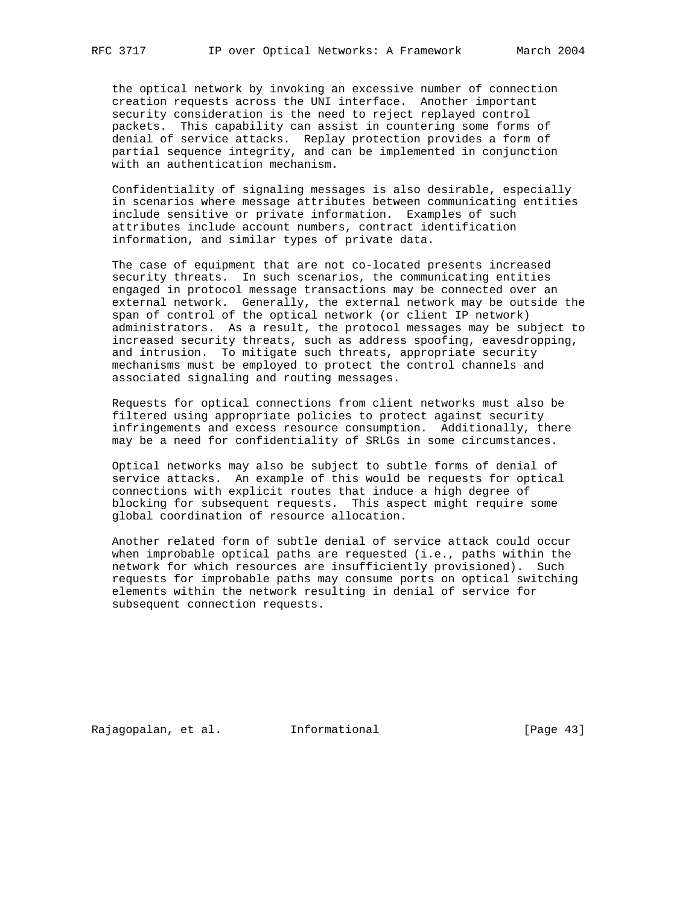the optical network by invoking an excessive number of connection creation requests across the UNI interface. Another important security consideration is the need to reject replayed control packets. This capability can assist in countering some forms of denial of service attacks. Replay protection provides a form of partial sequence integrity, and can be implemented in conjunction with an authentication mechanism.

 Confidentiality of signaling messages is also desirable, especially in scenarios where message attributes between communicating entities include sensitive or private information. Examples of such attributes include account numbers, contract identification information, and similar types of private data.

 The case of equipment that are not co-located presents increased security threats. In such scenarios, the communicating entities engaged in protocol message transactions may be connected over an external network. Generally, the external network may be outside the span of control of the optical network (or client IP network) administrators. As a result, the protocol messages may be subject to increased security threats, such as address spoofing, eavesdropping, and intrusion. To mitigate such threats, appropriate security mechanisms must be employed to protect the control channels and associated signaling and routing messages.

 Requests for optical connections from client networks must also be filtered using appropriate policies to protect against security infringements and excess resource consumption. Additionally, there may be a need for confidentiality of SRLGs in some circumstances.

 Optical networks may also be subject to subtle forms of denial of service attacks. An example of this would be requests for optical connections with explicit routes that induce a high degree of blocking for subsequent requests. This aspect might require some global coordination of resource allocation.

 Another related form of subtle denial of service attack could occur when improbable optical paths are requested (i.e., paths within the network for which resources are insufficiently provisioned). Such requests for improbable paths may consume ports on optical switching elements within the network resulting in denial of service for subsequent connection requests.

Rajagopalan, et al. Informational [Page 43]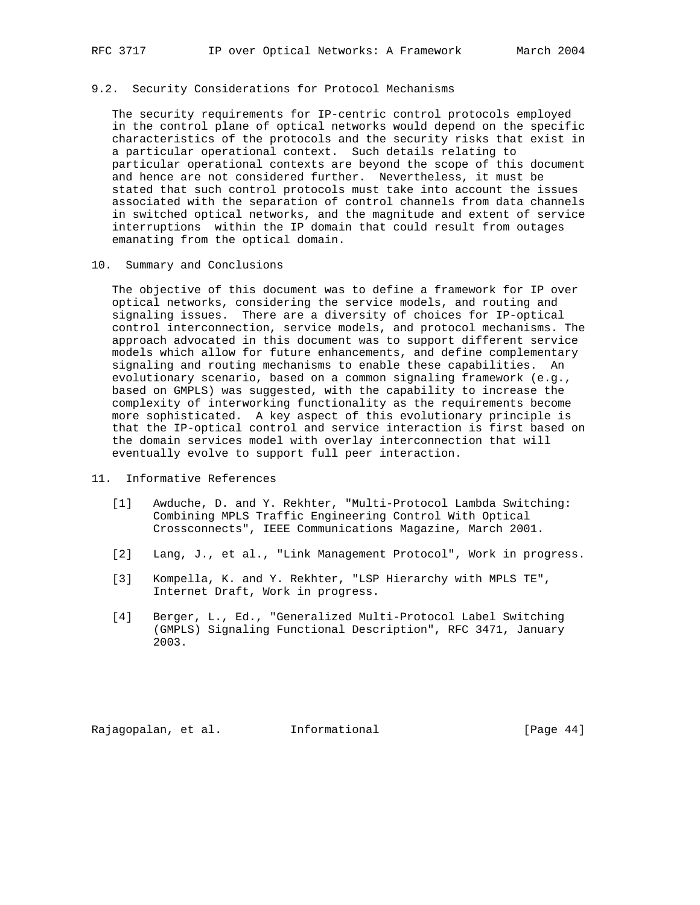## 9.2. Security Considerations for Protocol Mechanisms

 The security requirements for IP-centric control protocols employed in the control plane of optical networks would depend on the specific characteristics of the protocols and the security risks that exist in a particular operational context. Such details relating to particular operational contexts are beyond the scope of this document and hence are not considered further. Nevertheless, it must be stated that such control protocols must take into account the issues associated with the separation of control channels from data channels in switched optical networks, and the magnitude and extent of service interruptions within the IP domain that could result from outages emanating from the optical domain.

10. Summary and Conclusions

 The objective of this document was to define a framework for IP over optical networks, considering the service models, and routing and signaling issues. There are a diversity of choices for IP-optical control interconnection, service models, and protocol mechanisms. The approach advocated in this document was to support different service models which allow for future enhancements, and define complementary signaling and routing mechanisms to enable these capabilities. An evolutionary scenario, based on a common signaling framework (e.g., based on GMPLS) was suggested, with the capability to increase the complexity of interworking functionality as the requirements become more sophisticated. A key aspect of this evolutionary principle is that the IP-optical control and service interaction is first based on the domain services model with overlay interconnection that will eventually evolve to support full peer interaction.

- 11. Informative References
	- [1] Awduche, D. and Y. Rekhter, "Multi-Protocol Lambda Switching: Combining MPLS Traffic Engineering Control With Optical Crossconnects", IEEE Communications Magazine, March 2001.
	- [2] Lang, J., et al., "Link Management Protocol", Work in progress.
	- [3] Kompella, K. and Y. Rekhter, "LSP Hierarchy with MPLS TE", Internet Draft, Work in progress.
	- [4] Berger, L., Ed., "Generalized Multi-Protocol Label Switching (GMPLS) Signaling Functional Description", RFC 3471, January 2003.

Rajagopalan, et al. Informational [Page 44]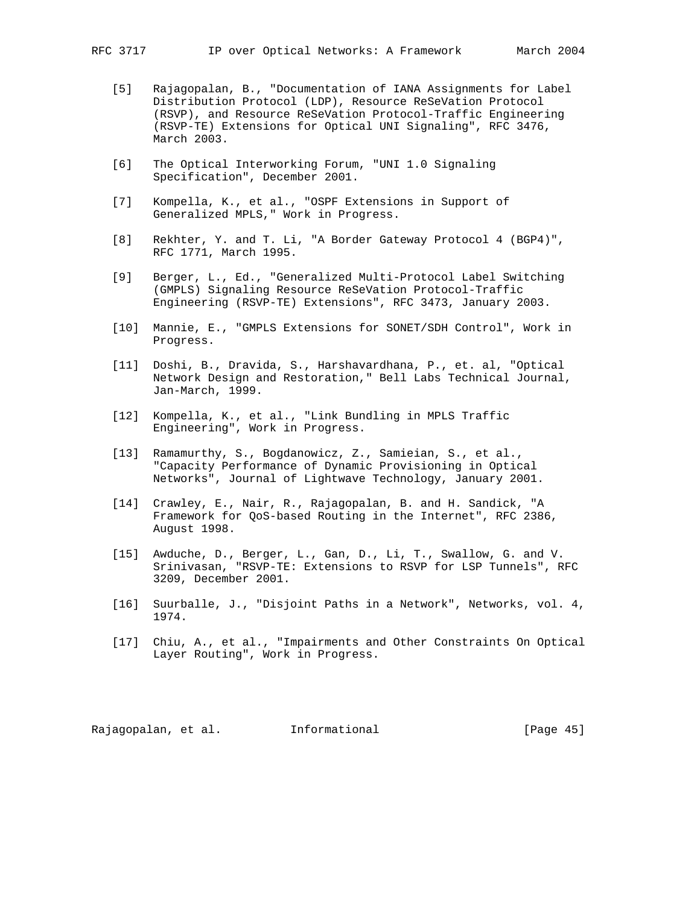- [5] Rajagopalan, B., "Documentation of IANA Assignments for Label Distribution Protocol (LDP), Resource ReSeVation Protocol (RSVP), and Resource ReSeVation Protocol-Traffic Engineering (RSVP-TE) Extensions for Optical UNI Signaling", RFC 3476, March 2003.
- [6] The Optical Interworking Forum, "UNI 1.0 Signaling Specification", December 2001.
- [7] Kompella, K., et al., "OSPF Extensions in Support of Generalized MPLS," Work in Progress.
- [8] Rekhter, Y. and T. Li, "A Border Gateway Protocol 4 (BGP4)", RFC 1771, March 1995.
- [9] Berger, L., Ed., "Generalized Multi-Protocol Label Switching (GMPLS) Signaling Resource ReSeVation Protocol-Traffic Engineering (RSVP-TE) Extensions", RFC 3473, January 2003.
- [10] Mannie, E., "GMPLS Extensions for SONET/SDH Control", Work in Progress.
- [11] Doshi, B., Dravida, S., Harshavardhana, P., et. al, "Optical Network Design and Restoration," Bell Labs Technical Journal, Jan-March, 1999.
- [12] Kompella, K., et al., "Link Bundling in MPLS Traffic Engineering", Work in Progress.
- [13] Ramamurthy, S., Bogdanowicz, Z., Samieian, S., et al., "Capacity Performance of Dynamic Provisioning in Optical Networks", Journal of Lightwave Technology, January 2001.
- [14] Crawley, E., Nair, R., Rajagopalan, B. and H. Sandick, "A Framework for QoS-based Routing in the Internet", RFC 2386, August 1998.
- [15] Awduche, D., Berger, L., Gan, D., Li, T., Swallow, G. and V. Srinivasan, "RSVP-TE: Extensions to RSVP for LSP Tunnels", RFC 3209, December 2001.
- [16] Suurballe, J., "Disjoint Paths in a Network", Networks, vol. 4, 1974.
- [17] Chiu, A., et al., "Impairments and Other Constraints On Optical Layer Routing", Work in Progress.

Rajagopalan, et al. Informational [Page 45]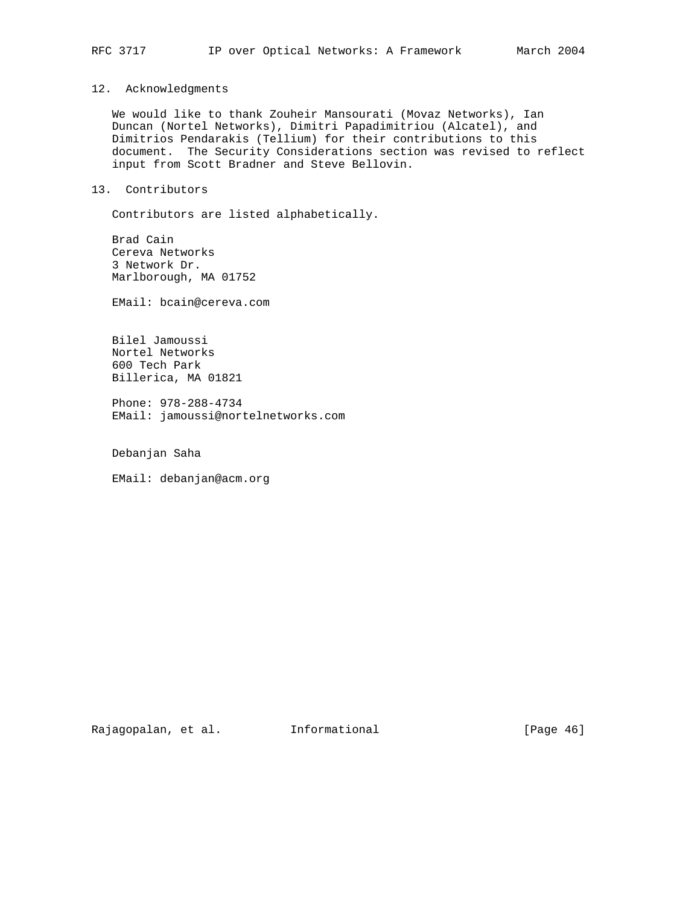## 12. Acknowledgments

 We would like to thank Zouheir Mansourati (Movaz Networks), Ian Duncan (Nortel Networks), Dimitri Papadimitriou (Alcatel), and Dimitrios Pendarakis (Tellium) for their contributions to this document. The Security Considerations section was revised to reflect input from Scott Bradner and Steve Bellovin.

## 13. Contributors

Contributors are listed alphabetically.

 Brad Cain Cereva Networks 3 Network Dr. Marlborough, MA 01752

EMail: bcain@cereva.com

 Bilel Jamoussi Nortel Networks 600 Tech Park Billerica, MA 01821

 Phone: 978-288-4734 EMail: jamoussi@nortelnetworks.com

Debanjan Saha

EMail: debanjan@acm.org

Rajagopalan, et al. Informational [Page 46]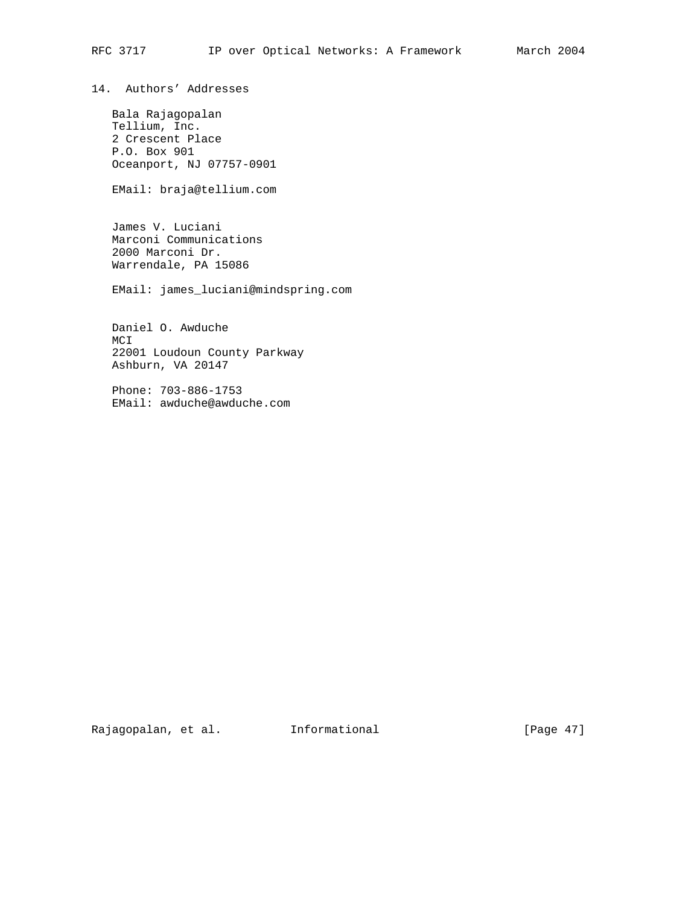14. Authors' Addresses

 Bala Rajagopalan Tellium, Inc. 2 Crescent Place P.O. Box 901 Oceanport, NJ 07757-0901

EMail: braja@tellium.com

 James V. Luciani Marconi Communications 2000 Marconi Dr. Warrendale, PA 15086

EMail: james\_luciani@mindspring.com

 Daniel O. Awduche MCI 22001 Loudoun County Parkway Ashburn, VA 20147

 Phone: 703-886-1753 EMail: awduche@awduche.com

Rajagopalan, et al. 1nformational 1999 [Page 47]